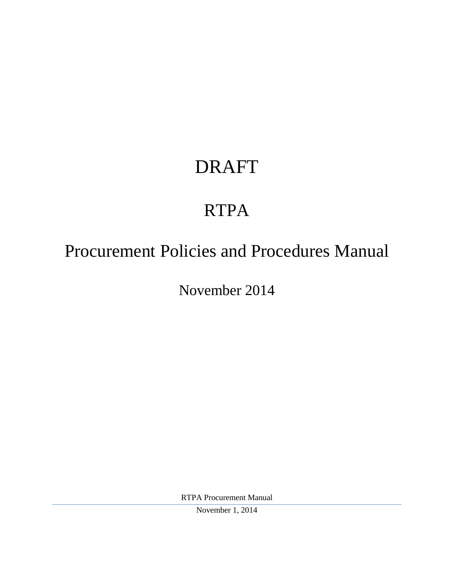# DRAFT

# RTPA

## Procurement Policies and Procedures Manual

November 2014

RTPA Procurement Manual

November 1, 2014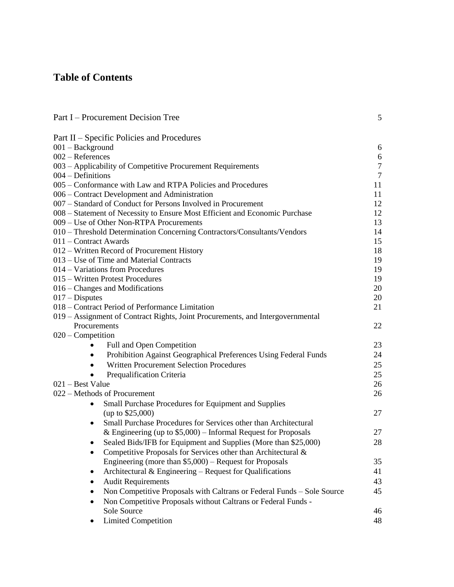## **Table of Contents**

| Part I – Procurement Decision Tree                                             | 5              |
|--------------------------------------------------------------------------------|----------------|
| Part II – Specific Policies and Procedures                                     |                |
| $001 - Background$                                                             | 6              |
| $002 -$ References                                                             | 6              |
| 003 - Applicability of Competitive Procurement Requirements                    | $\overline{7}$ |
| $004 -$ Definitions                                                            | $\overline{7}$ |
| 005 – Conformance with Law and RTPA Policies and Procedures                    | 11             |
| 006 – Contract Development and Administration                                  | 11             |
| 007 – Standard of Conduct for Persons Involved in Procurement                  | 12             |
| 008 – Statement of Necessity to Ensure Most Efficient and Economic Purchase    | 12             |
| 009 - Use of Other Non-RTPA Procurements                                       | 13             |
| 010 - Threshold Determination Concerning Contractors/Consultants/Vendors       | 14             |
| 011 - Contract Awards                                                          | 15             |
| 012 – Written Record of Procurement History                                    | 18             |
| 013 – Use of Time and Material Contracts                                       | 19             |
| 014 – Variations from Procedures                                               | 19             |
| 015 – Written Protest Procedures                                               | 19             |
| 016 – Changes and Modifications                                                | 20             |
| $017 - Disputes$                                                               | 20             |
| 018 – Contract Period of Performance Limitation                                | 21             |
| 019 – Assignment of Contract Rights, Joint Procurements, and Intergovernmental |                |
| Procurements                                                                   | 22             |
| $020$ – Competition                                                            |                |
| Full and Open Competition                                                      | 23             |
| Prohibition Against Geographical Preferences Using Federal Funds<br>$\bullet$  | 24             |
| <b>Written Procurement Selection Procedures</b>                                | 25             |
| Prequalification Criteria                                                      | 25             |
| 021 - Best Value                                                               | 26             |
| 022 – Methods of Procurement                                                   | 26             |
| Small Purchase Procedures for Equipment and Supplies<br>$\bullet$              |                |
| (up to $$25,000$ )                                                             | 27             |
| Small Purchase Procedures for Services other than Architectural<br>٠           |                |
| & Engineering (up to $$5,000$ ) – Informal Request for Proposals               | 27             |
| Sealed Bids/IFB for Equipment and Supplies (More than \$25,000)                | 28             |
| Competitive Proposals for Services other than Architectural &<br>٠             |                |
| Engineering (more than $$5,000$ ) – Request for Proposals                      | 35             |
| Architectural $&$ Engineering – Request for Qualifications                     | 41             |
| <b>Audit Requirements</b><br>٠                                                 | 43             |
| Non Competitive Proposals with Caltrans or Federal Funds - Sole Source<br>٠    | 45             |
| Non Competitive Proposals without Caltrans or Federal Funds -<br>٠             |                |
| Sole Source                                                                    | 46             |
| <b>Limited Competition</b>                                                     | 48             |
|                                                                                |                |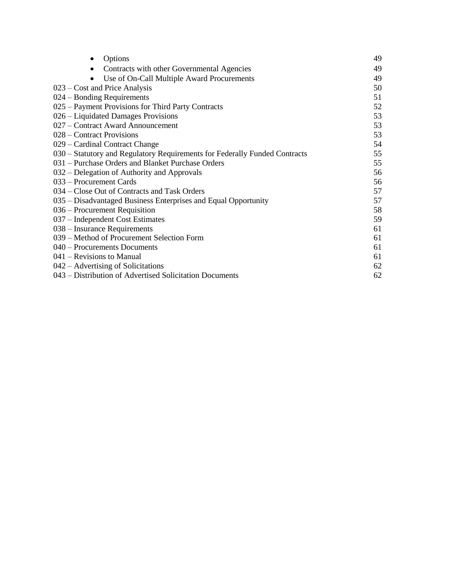| Options<br>٠                                                               | 49 |
|----------------------------------------------------------------------------|----|
| Contracts with other Governmental Agencies<br>$\bullet$                    | 49 |
| Use of On-Call Multiple Award Procurements                                 | 49 |
| 023 – Cost and Price Analysis                                              | 50 |
| 024 – Bonding Requirements                                                 | 51 |
| 025 – Payment Provisions for Third Party Contracts                         | 52 |
| 026 – Liquidated Damages Provisions                                        | 53 |
| 027 – Contract Award Announcement                                          | 53 |
| 028 – Contract Provisions                                                  | 53 |
| 029 – Cardinal Contract Change                                             | 54 |
| 030 – Statutory and Regulatory Requirements for Federally Funded Contracts | 55 |
| 031 - Purchase Orders and Blanket Purchase Orders                          | 55 |
| 032 – Delegation of Authority and Approvals                                | 56 |
| 033 – Procurement Cards                                                    | 56 |
| 034 – Close Out of Contracts and Task Orders                               | 57 |
| 035 – Disadvantaged Business Enterprises and Equal Opportunity             | 57 |
| 036 – Procurement Requisition                                              | 58 |
| 037 – Independent Cost Estimates                                           | 59 |
| 038 – Insurance Requirements                                               | 61 |
| 039 – Method of Procurement Selection Form                                 | 61 |
| 040 – Procurements Documents                                               | 61 |
| $041$ – Revisions to Manual                                                | 61 |
| 042 – Advertising of Solicitations                                         | 62 |
| 043 – Distribution of Advertised Solicitation Documents                    | 62 |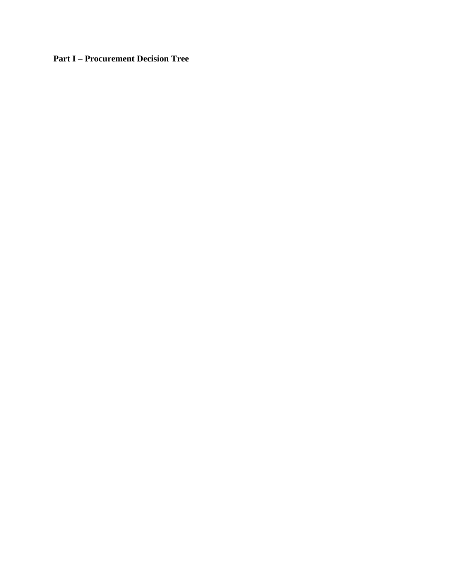**Part I – Procurement Decision Tree**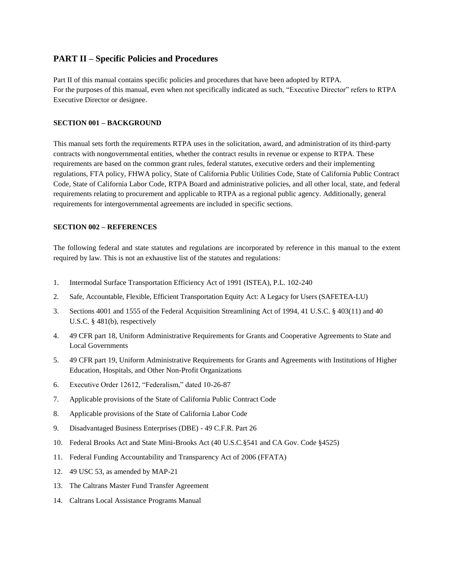## **PART II – Specific Policies and Procedures**

Part II of this manual contains specific policies and procedures that have been adopted by RTPA. For the purposes of this manual, even when not specifically indicated as such, "Executive Director" refers to RTPA Executive Director or designee.

## **SECTION 001 – BACKGROUND**

This manual sets forth the requirements RTPA uses in the solicitation, award, and administration of its third-party contracts with nongovernmental entities, whether the contract results in revenue or expense to RTPA. These requirements are based on the common grant rules, federal statutes, executive orders and their implementing regulations, FTA policy, FHWA policy, State of California Public Utilities Code, State of California Public Contract Code, State of California Labor Code, RTPA Board and administrative policies, and all other local, state, and federal requirements relating to procurement and applicable to RTPA as a regional public agency. Additionally, general requirements for intergovernmental agreements are included in specific sections.

## **SECTION 002 – REFERENCES**

The following federal and state statutes and regulations are incorporated by reference in this manual to the extent required by law. This is not an exhaustive list of the statutes and regulations:

- 1. Intermodal Surface Transportation Efficiency Act of 1991 (ISTEA), P.L. 102-240
- 2. Safe, Accountable, Flexible, Efficient Transportation Equity Act: A Legacy for Users (SAFETEA-LU)
- 3. Sections 4001 and 1555 of the Federal Acquisition Streamlining Act of 1994, 41 U.S.C. § 403(11) and 40 U.S.C. § 481(b), respectively
- 4. 49 CFR part 18, Uniform Administrative Requirements for Grants and Cooperative Agreements to State and Local Governments
- 5. 49 CFR part 19, Uniform Administrative Requirements for Grants and Agreements with Institutions of Higher Education, Hospitals, and Other Non-Profit Organizations
- 6. Executive Order 12612, "Federalism," dated 10-26-87
- 7. Applicable provisions of the State of California Public Contract Code
- 8. Applicable provisions of the State of California Labor Code
- 9. Disadvantaged Business Enterprises (DBE) 49 C.F.R. Part 26
- 10. Federal Brooks Act and State Mini-Brooks Act (40 U.S.C.§541 and CA Gov. Code §4525)
- 11. Federal Funding Accountability and Transparency Act of 2006 (FFATA)
- 12. 49 USC 53, as amended by MAP-21
- 13. The Caltrans Master Fund Transfer Agreement
- 14. Caltrans Local Assistance Programs Manual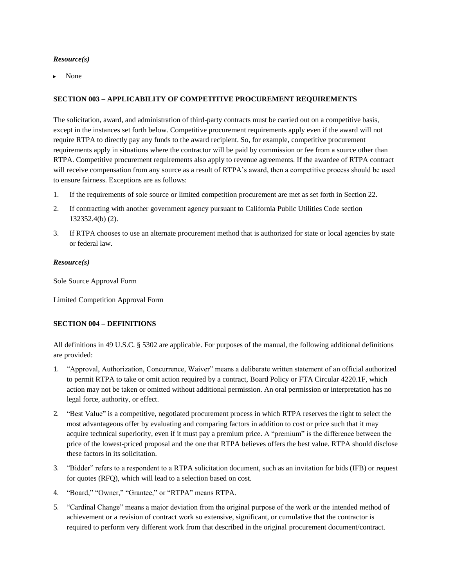None

## **SECTION 003 – APPLICABILITY OF COMPETITIVE PROCUREMENT REQUIREMENTS**

The solicitation, award, and administration of third-party contracts must be carried out on a competitive basis, except in the instances set forth below. Competitive procurement requirements apply even if the award will not require RTPA to directly pay any funds to the award recipient. So, for example, competitive procurement requirements apply in situations where the contractor will be paid by commission or fee from a source other than RTPA. Competitive procurement requirements also apply to revenue agreements. If the awardee of RTPA contract will receive compensation from any source as a result of RTPA's award, then a competitive process should be used to ensure fairness. Exceptions are as follows:

- 1. If the requirements of sole source or limited competition procurement are met as set forth in Section 22.
- 2. If contracting with another government agency pursuant to California Public Utilities Code section 132352.4(b) (2).
- 3. If RTPA chooses to use an alternate procurement method that is authorized for state or local agencies by state or federal law.

## *Resource(s)*

Sole Source Approval Form

Limited Competition Approval Form

## **SECTION 004 – DEFINITIONS**

All definitions in 49 U.S.C. § 5302 are applicable. For purposes of the manual, the following additional definitions are provided:

- 1. "Approval, Authorization, Concurrence, Waiver" means a deliberate written statement of an official authorized to permit RTPA to take or omit action required by a contract, Board Policy or FTA Circular 4220.1F, which action may not be taken or omitted without additional permission. An oral permission or interpretation has no legal force, authority, or effect.
- 2. "Best Value" is a competitive, negotiated procurement process in which RTPA reserves the right to select the most advantageous offer by evaluating and comparing factors in addition to cost or price such that it may acquire technical superiority, even if it must pay a premium price. A "premium" is the difference between the price of the lowest-priced proposal and the one that RTPA believes offers the best value. RTPA should disclose these factors in its solicitation.
- 3. "Bidder" refers to a respondent to a RTPA solicitation document, such as an invitation for bids (IFB) or request for quotes (RFQ), which will lead to a selection based on cost.
- 4. "Board," "Owner," "Grantee," or "RTPA" means RTPA.
- 5. "Cardinal Change" means a major deviation from the original purpose of the work or the intended method of achievement or a revision of contract work so extensive, significant, or cumulative that the contractor is required to perform very different work from that described in the original procurement document/contract.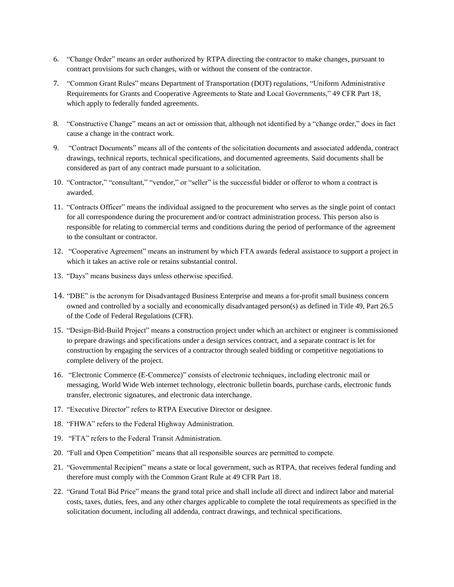- 6. "Change Order" means an order authorized by RTPA directing the contractor to make changes, pursuant to contract provisions for such changes, with or without the consent of the contractor.
- 7. "Common Grant Rules" means Department of Transportation (DOT) regulations, "Uniform Administrative Requirements for Grants and Cooperative Agreements to State and Local Governments," 49 CFR Part 18, which apply to federally funded agreements.
- 8. "Constructive Change" means an act or omission that, although not identified by a "change order," does in fact cause a change in the contract work.
- 9. "Contract Documents" means all of the contents of the solicitation documents and associated addenda, contract drawings, technical reports, technical specifications, and documented agreements. Said documents shall be considered as part of any contract made pursuant to a solicitation.
- 10. "Contractor," "consultant," "vendor," or "seller" is the successful bidder or offeror to whom a contract is awarded.
- 11. "Contracts Officer" means the individual assigned to the procurement who serves as the single point of contact for all correspondence during the procurement and/or contract administration process. This person also is responsible for relating to commercial terms and conditions during the period of performance of the agreement to the consultant or contractor.
- 12. "Cooperative Agreement" means an instrument by which FTA awards federal assistance to support a project in which it takes an active role or retains substantial control.
- 13. "Days" means business days unless otherwise specified.
- 14. "DBE" is the acronym for Disadvantaged Business Enterprise and means a for-profit small business concern owned and controlled by a socially and economically disadvantaged person(s) as defined in Title 49, Part 26.5 of the Code of Federal Regulations (CFR).
- 15. "Design-Bid-Build Project" means a construction project under which an architect or engineer is commissioned to prepare drawings and specifications under a design services contract, and a separate contract is let for construction by engaging the services of a contractor through sealed bidding or competitive negotiations to complete delivery of the project.
- 16. "Electronic Commerce (E-Commerce)" consists of electronic techniques, including electronic mail or messaging, World Wide Web internet technology, electronic bulletin boards, purchase cards, electronic funds transfer, electronic signatures, and electronic data interchange.
- 17. "Executive Director" refers to RTPA Executive Director or designee.
- 18. "FHWA" refers to the Federal Highway Administration.
- 19. "FTA" refers to the Federal Transit Administration.
- 20. "Full and Open Competition" means that all responsible sources are permitted to compete.
- 21. "Governmental Recipient" means a state or local government, such as RTPA, that receives federal funding and therefore must comply with the Common Grant Rule at 49 CFR Part 18.
- 22. "Grand Total Bid Price" means the grand total price and shall include all direct and indirect labor and material costs, taxes, duties, fees, and any other charges applicable to complete the total requirements as specified in the solicitation document, including all addenda, contract drawings, and technical specifications.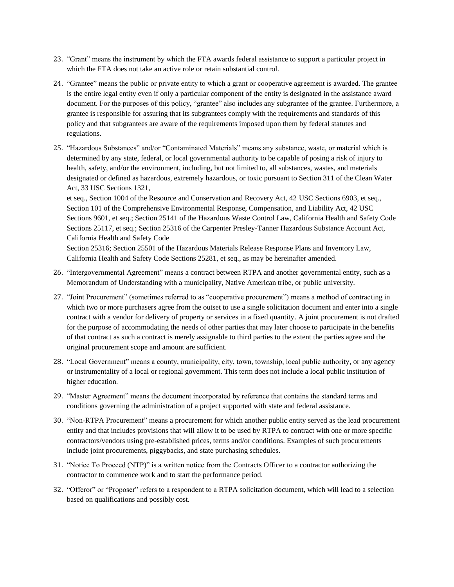- 23. "Grant" means the instrument by which the FTA awards federal assistance to support a particular project in which the FTA does not take an active role or retain substantial control.
- 24. "Grantee" means the public or private entity to which a grant or cooperative agreement is awarded. The grantee is the entire legal entity even if only a particular component of the entity is designated in the assistance award document. For the purposes of this policy, "grantee" also includes any subgrantee of the grantee. Furthermore, a grantee is responsible for assuring that its subgrantees comply with the requirements and standards of this policy and that subgrantees are aware of the requirements imposed upon them by federal statutes and regulations.
- 25. "Hazardous Substances" and/or "Contaminated Materials" means any substance, waste, or material which is determined by any state, federal, or local governmental authority to be capable of posing a risk of injury to health, safety, and/or the environment, including, but not limited to, all substances, wastes, and materials designated or defined as hazardous, extremely hazardous, or toxic pursuant to Section 311 of the Clean Water Act, 33 USC Sections 1321,

et seq., Section 1004 of the Resource and Conservation and Recovery Act, 42 USC Sections 6903, et seq., Section 101 of the Comprehensive Environmental Response, Compensation, and Liability Act, 42 USC Sections 9601, et seq.; Section 25141 of the Hazardous Waste Control Law, California Health and Safety Code Sections 25117, et seq.; Section 25316 of the Carpenter Presley-Tanner Hazardous Substance Account Act, California Health and Safety Code

Section 25316; Section 25501 of the Hazardous Materials Release Response Plans and Inventory Law, California Health and Safety Code Sections 25281, et seq., as may be hereinafter amended.

- 26. "Intergovernmental Agreement" means a contract between RTPA and another governmental entity, such as a Memorandum of Understanding with a municipality, Native American tribe, or public university.
- 27. "Joint Procurement" (sometimes referred to as "cooperative procurement") means a method of contracting in which two or more purchasers agree from the outset to use a single solicitation document and enter into a single contract with a vendor for delivery of property or services in a fixed quantity. A joint procurement is not drafted for the purpose of accommodating the needs of other parties that may later choose to participate in the benefits of that contract as such a contract is merely assignable to third parties to the extent the parties agree and the original procurement scope and amount are sufficient.
- 28. "Local Government" means a county, municipality, city, town, township, local public authority, or any agency or instrumentality of a local or regional government. This term does not include a local public institution of higher education.
- 29. "Master Agreement" means the document incorporated by reference that contains the standard terms and conditions governing the administration of a project supported with state and federal assistance.
- 30. "Non-RTPA Procurement" means a procurement for which another public entity served as the lead procurement entity and that includes provisions that will allow it to be used by RTPA to contract with one or more specific contractors/vendors using pre-established prices, terms and/or conditions. Examples of such procurements include joint procurements, piggybacks, and state purchasing schedules.
- 31. "Notice To Proceed (NTP)" is a written notice from the Contracts Officer to a contractor authorizing the contractor to commence work and to start the performance period.
- 32. "Offeror" or "Proposer" refers to a respondent to a RTPA solicitation document, which will lead to a selection based on qualifications and possibly cost.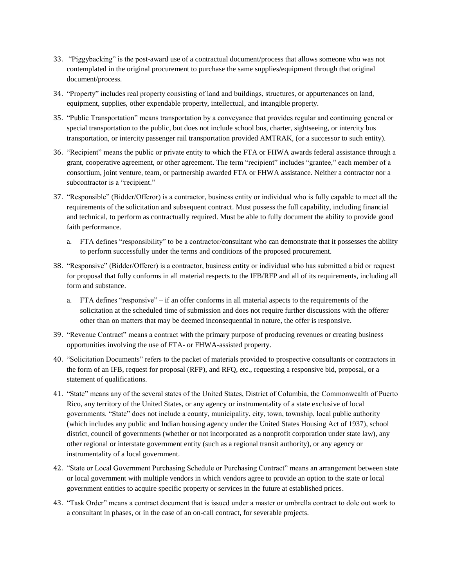- 33. "Piggybacking" is the post-award use of a contractual document/process that allows someone who was not contemplated in the original procurement to purchase the same supplies/equipment through that original document/process.
- 34. "Property" includes real property consisting of land and buildings, structures, or appurtenances on land, equipment, supplies, other expendable property, intellectual, and intangible property.
- 35. "Public Transportation" means transportation by a conveyance that provides regular and continuing general or special transportation to the public, but does not include school bus, charter, sightseeing, or intercity bus transportation, or intercity passenger rail transportation provided AMTRAK, (or a successor to such entity).
- 36. "Recipient" means the public or private entity to which the FTA or FHWA awards federal assistance through a grant, cooperative agreement, or other agreement. The term "recipient" includes "grantee," each member of a consortium, joint venture, team, or partnership awarded FTA or FHWA assistance. Neither a contractor nor a subcontractor is a "recipient."
- 37. "Responsible" (Bidder/Offeror) is a contractor, business entity or individual who is fully capable to meet all the requirements of the solicitation and subsequent contract. Must possess the full capability, including financial and technical, to perform as contractually required. Must be able to fully document the ability to provide good faith performance.
	- a. FTA defines "responsibility" to be a contractor/consultant who can demonstrate that it possesses the ability to perform successfully under the terms and conditions of the proposed procurement.
- 38. "Responsive" (Bidder/Offerer) is a contractor, business entity or individual who has submitted a bid or request for proposal that fully conforms in all material respects to the IFB/RFP and all of its requirements, including all form and substance.
	- a. FTA defines "responsive" if an offer conforms in all material aspects to the requirements of the solicitation at the scheduled time of submission and does not require further discussions with the offerer other than on matters that may be deemed inconsequential in nature, the offer is responsive.
- 39. "Revenue Contract" means a contract with the primary purpose of producing revenues or creating business opportunities involving the use of FTA- or FHWA-assisted property.
- 40. "Solicitation Documents" refers to the packet of materials provided to prospective consultants or contractors in the form of an IFB, request for proposal (RFP), and RFQ, etc., requesting a responsive bid, proposal, or a statement of qualifications.
- 41. "State" means any of the several states of the United States, District of Columbia, the Commonwealth of Puerto Rico, any territory of the United States, or any agency or instrumentality of a state exclusive of local governments. "State" does not include a county, municipality, city, town, township, local public authority (which includes any public and Indian housing agency under the United States Housing Act of 1937), school district, council of governments (whether or not incorporated as a nonprofit corporation under state law), any other regional or interstate government entity (such as a regional transit authority), or any agency or instrumentality of a local government.
- 42. "State or Local Government Purchasing Schedule or Purchasing Contract" means an arrangement between state or local government with multiple vendors in which vendors agree to provide an option to the state or local government entities to acquire specific property or services in the future at established prices.
- 43. "Task Order" means a contract document that is issued under a master or umbrella contract to dole out work to a consultant in phases, or in the case of an on-call contract, for severable projects.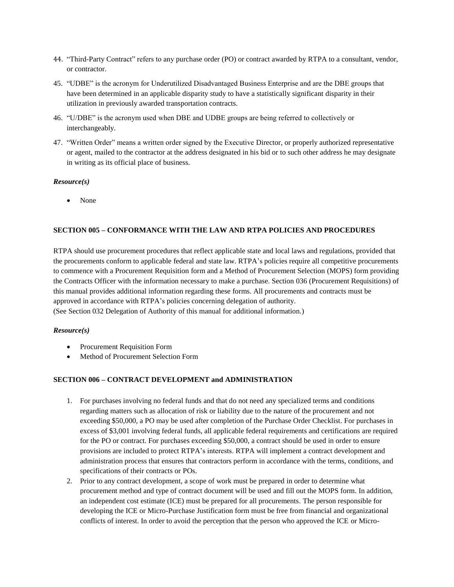- 44. "Third-Party Contract" refers to any purchase order (PO) or contract awarded by RTPA to a consultant, vendor, or contractor.
- 45. "UDBE" is the acronym for Underutilized Disadvantaged Business Enterprise and are the DBE groups that have been determined in an applicable disparity study to have a statistically significant disparity in their utilization in previously awarded transportation contracts.
- 46. "U/DBE" is the acronym used when DBE and UDBE groups are being referred to collectively or interchangeably.
- 47. "Written Order" means a written order signed by the Executive Director, or properly authorized representative or agent, mailed to the contractor at the address designated in his bid or to such other address he may designate in writing as its official place of business.

None

## **SECTION 005 – CONFORMANCE WITH THE LAW AND RTPA POLICIES AND PROCEDURES**

RTPA should use procurement procedures that reflect applicable state and local laws and regulations, provided that the procurements conform to applicable federal and state law. RTPA's policies require all competitive procurements to commence with a Procurement Requisition form and a Method of Procurement Selection (MOPS) form providing the Contracts Officer with the information necessary to make a purchase. Section 036 (Procurement Requisitions) of this manual provides additional information regarding these forms. All procurements and contracts must be approved in accordance with RTPA's policies concerning delegation of authority.

(See Section 032 Delegation of Authority of this manual for additional information.)

#### *Resource(s)*

- Procurement Requisition Form
- Method of Procurement Selection Form

#### **SECTION 006 – CONTRACT DEVELOPMENT and ADMINISTRATION**

- 1. For purchases involving no federal funds and that do not need any specialized terms and conditions regarding matters such as allocation of risk or liability due to the nature of the procurement and not exceeding \$50,000, a PO may be used after completion of the Purchase Order Checklist. For purchases in excess of \$3,001 involving federal funds, all applicable federal requirements and certifications are required for the PO or contract. For purchases exceeding \$50,000, a contract should be used in order to ensure provisions are included to protect RTPA's interests. RTPA will implement a contract development and administration process that ensures that contractors perform in accordance with the terms, conditions, and specifications of their contracts or POs.
- 2. Prior to any contract development, a scope of work must be prepared in order to determine what procurement method and type of contract document will be used and fill out the MOPS form. In addition, an independent cost estimate (ICE) must be prepared for all procurements. The person responsible for developing the ICE or Micro-Purchase Justification form must be free from financial and organizational conflicts of interest. In order to avoid the perception that the person who approved the ICE or Micro-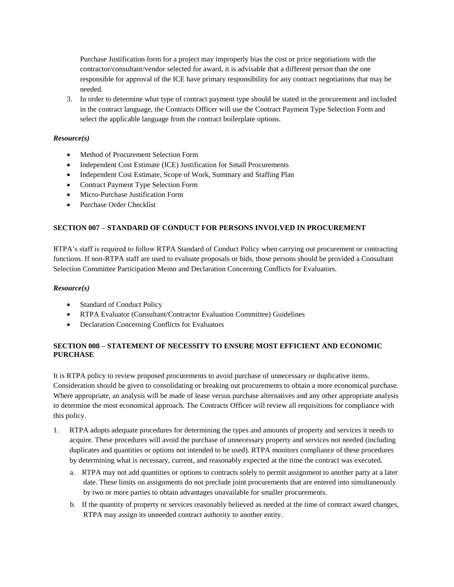Purchase Justification form for a project may improperly bias the cost or price negotiations with the contractor/consultant/vendor selected for award, it is advisable that a different person than the one responsible for approval of the ICE have primary responsibility for any contract negotiations that may be needed.

3. In order to determine what type of contract payment type should be stated in the procurement and included in the contract language, the Contracts Officer will use the Contract Payment Type Selection Form and select the applicable language from the contract boilerplate options.

## *Resource(s)*

- Method of Procurement Selection Form
- Independent Cost Estimate (ICE) Justification for Small Procurements
- Independent Cost Estimate, Scope of Work, Summary and Staffing Plan
- Contract Payment Type Selection Form
- Micro-Purchase Justification Form
- Purchase Order Checklist

## **SECTION 007 – STANDARD OF CONDUCT FOR PERSONS INVOLVED IN PROCUREMENT**

RTPA's staff is required to follow RTPA Standard of Conduct Policy when carrying out procurement or contracting functions. If non-RTPA staff are used to evaluate proposals or bids, those persons should be provided a Consultant Selection Committee Participation Memo and Declaration Concerning Conflicts for Evaluators.

## *Resource(s)*

- Standard of Conduct Policy
- RTPA Evaluator (Consultant/Contractor Evaluation Committee) Guidelines
- Declaration Concerning Conflicts for Evaluators

## **SECTION 008 – STATEMENT OF NECESSITY TO ENSURE MOST EFFICIENT AND ECONOMIC PURCHASE**

It is RTPA policy to review proposed procurements to avoid purchase of unnecessary or duplicative items. Consideration should be given to consolidating or breaking out procurements to obtain a more economical purchase. Where appropriate, an analysis will be made of lease versus purchase alternatives and any other appropriate analysis to determine the most economical approach. The Contracts Officer will review all requisitions for compliance with this policy.

- 1. RTPA adopts adequate procedures for determining the types and amounts of property and services it needs to acquire. These procedures will avoid the purchase of unnecessary property and services not needed (including duplicates and quantities or options not intended to be used). RTPA monitors compliance of these procedures by determining what is necessary, current, and reasonably expected at the time the contract was executed.
	- a. RTPA may not add quantities or options to contracts solely to permit assignment to another party at a later date. These limits on assignments do not preclude joint procurements that are entered into simultaneously by two or more parties to obtain advantages unavailable for smaller procurements.
	- b. If the quantity of property or services reasonably believed as needed at the time of contract award changes, RTPA may assign its unneeded contract authority to another entity.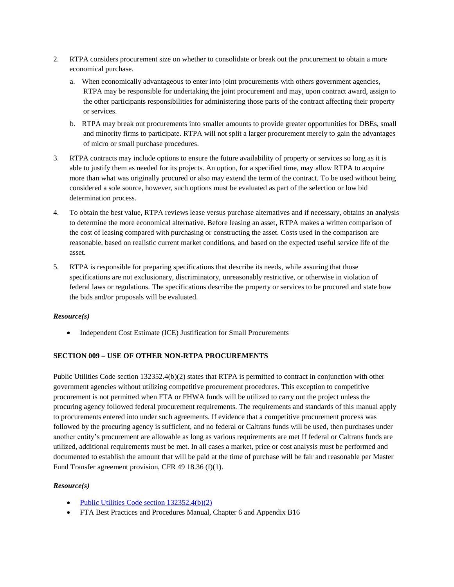- 2. RTPA considers procurement size on whether to consolidate or break out the procurement to obtain a more economical purchase.
	- a. When economically advantageous to enter into joint procurements with others government agencies, RTPA may be responsible for undertaking the joint procurement and may, upon contract award, assign to the other participants responsibilities for administering those parts of the contract affecting their property or services.
	- b. RTPA may break out procurements into smaller amounts to provide greater opportunities for DBEs, small and minority firms to participate. RTPA will not split a larger procurement merely to gain the advantages of micro or small purchase procedures.
- 3. RTPA contracts may include options to ensure the future availability of property or services so long as it is able to justify them as needed for its projects. An option, for a specified time, may allow RTPA to acquire more than what was originally procured or also may extend the term of the contract. To be used without being considered a sole source, however, such options must be evaluated as part of the selection or low bid determination process.
- 4. To obtain the best value, RTPA reviews lease versus purchase alternatives and if necessary, obtains an analysis to determine the more economical alternative. Before leasing an asset, RTPA makes a written comparison of the cost of leasing compared with purchasing or constructing the asset. Costs used in the comparison are reasonable, based on realistic current market conditions, and based on the expected useful service life of the asset.
- 5. RTPA is responsible for preparing specifications that describe its needs, while assuring that those specifications are not exclusionary, discriminatory, unreasonably restrictive, or otherwise in violation of federal laws or regulations. The specifications describe the property or services to be procured and state how the bids and/or proposals will be evaluated.

• Independent Cost Estimate (ICE) Justification for Small Procurements

## **SECTION 009 – USE OF OTHER NON-RTPA PROCUREMENTS**

Public Utilities Code section 132352.4(b)(2) states that RTPA is permitted to contract in conjunction with other government agencies without utilizing competitive procurement procedures. This exception to competitive procurement is not permitted when FTA or FHWA funds will be utilized to carry out the project unless the procuring agency followed federal procurement requirements. The requirements and standards of this manual apply to procurements entered into under such agreements. If evidence that a competitive procurement process was followed by the procuring agency is sufficient, and no federal or Caltrans funds will be used, then purchases under another entity's procurement are allowable as long as various requirements are met If federal or Caltrans funds are utilized, additional requirements must be met. In all cases a market, price or cost analysis must be performed and documented to establish the amount that will be paid at the time of purchase will be fair and reasonable per Master Fund Transfer agreement provision, CFR 49 18.36 (f)(1).

## *Resource(s)*

- Public Utilities Code section  $132352.4(b)(2)$
- FTA Best Practices and Procedures Manual, Chapter 6 and Appendix B16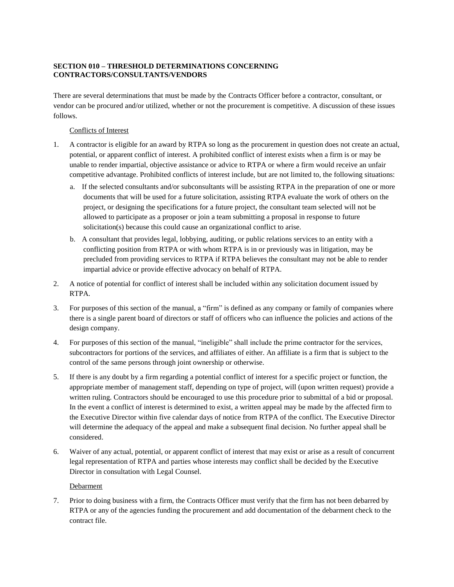## **SECTION 010 – THRESHOLD DETERMINATIONS CONCERNING CONTRACTORS/CONSULTANTS/VENDORS**

There are several determinations that must be made by the Contracts Officer before a contractor, consultant, or vendor can be procured and/or utilized, whether or not the procurement is competitive. A discussion of these issues follows.

## Conflicts of Interest

- 1. A contractor is eligible for an award by RTPA so long as the procurement in question does not create an actual, potential, or apparent conflict of interest. A prohibited conflict of interest exists when a firm is or may be unable to render impartial, objective assistance or advice to RTPA or where a firm would receive an unfair competitive advantage. Prohibited conflicts of interest include, but are not limited to, the following situations:
	- a. If the selected consultants and/or subconsultants will be assisting RTPA in the preparation of one or more documents that will be used for a future solicitation, assisting RTPA evaluate the work of others on the project, or designing the specifications for a future project, the consultant team selected will not be allowed to participate as a proposer or join a team submitting a proposal in response to future solicitation(s) because this could cause an organizational conflict to arise.
	- b. A consultant that provides legal, lobbying, auditing, or public relations services to an entity with a conflicting position from RTPA or with whom RTPA is in or previously was in litigation, may be precluded from providing services to RTPA if RTPA believes the consultant may not be able to render impartial advice or provide effective advocacy on behalf of RTPA.
- 2. A notice of potential for conflict of interest shall be included within any solicitation document issued by RTPA.
- 3. For purposes of this section of the manual, a "firm" is defined as any company or family of companies where there is a single parent board of directors or staff of officers who can influence the policies and actions of the design company.
- 4. For purposes of this section of the manual, "ineligible" shall include the prime contractor for the services, subcontractors for portions of the services, and affiliates of either. An affiliate is a firm that is subject to the control of the same persons through joint ownership or otherwise.
- 5. If there is any doubt by a firm regarding a potential conflict of interest for a specific project or function, the appropriate member of management staff, depending on type of project, will (upon written request) provide a written ruling. Contractors should be encouraged to use this procedure prior to submittal of a bid or proposal. In the event a conflict of interest is determined to exist, a written appeal may be made by the affected firm to the Executive Director within five calendar days of notice from RTPA of the conflict. The Executive Director will determine the adequacy of the appeal and make a subsequent final decision. No further appeal shall be considered.
- 6. Waiver of any actual, potential, or apparent conflict of interest that may exist or arise as a result of concurrent legal representation of RTPA and parties whose interests may conflict shall be decided by the Executive Director in consultation with Legal Counsel.

## Debarment

7. Prior to doing business with a firm, the Contracts Officer must verify that the firm has not been debarred by RTPA or any of the agencies funding the procurement and add documentation of the debarment check to the contract file.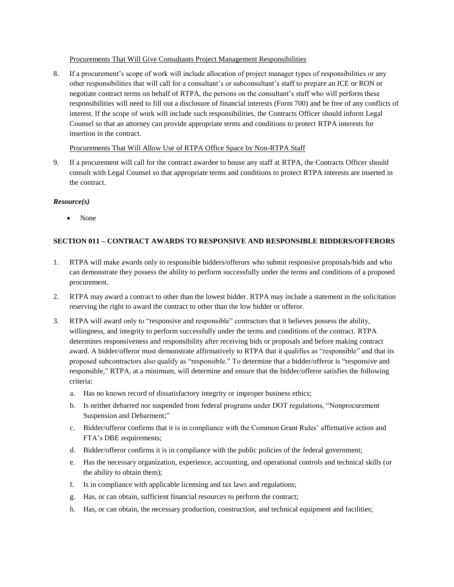## Procurements That Will Give Consultants Project Management Responsibilities

8. If a procurement's scope of work will include allocation of project manager types of responsibilities or any other responsibilities that will call for a consultant's or subconsultant's staff to prepare an ICE or RON or negotiate contract terms on behalf of RTPA, the persons on the consultant's staff who will perform these responsibilities will need to fill out a disclosure of financial interests (Form 700) and be free of any conflicts of interest. If the scope of work will include such responsibilities, the Contracts Officer should inform Legal Counsel so that an attorney can provide appropriate terms and conditions to protect RTPA interests for insertion in the contract.

## Procurements That Will Allow Use of RTPA Office Space by Non-RTPA Staff

9. If a procurement will call for the contract awardee to house any staff at RTPA, the Contracts Officer should consult with Legal Counsel so that appropriate terms and conditions to protect RTPA interests are inserted in the contract.

## *Resource(s)*

• None

## **SECTION 011 – CONTRACT AWARDS TO RESPONSIVE AND RESPONSIBLE BIDDERS/OFFERORS**

- 1. RTPA will make awards only to responsible bidders/offerors who submit responsive proposals/bids and who can demonstrate they possess the ability to perform successfully under the terms and conditions of a proposed procurement.
- 2. RTPA may award a contract to other than the lowest bidder. RTPA may include a statement in the solicitation reserving the right to award the contract to other than the low bidder or offeror.
- 3. RTPA will award only to "responsive and responsible" contractors that it believes possess the ability, willingness, and integrity to perform successfully under the terms and conditions of the contract. RTPA determines responsiveness and responsibility after receiving bids or proposals and before making contract award. A bidder/offeror must demonstrate affirmatively to RTPA that it qualifies as "responsible" and that its proposed subcontractors also qualify as "responsible." To determine that a bidder/offeror is "responsive and responsible," RTPA, at a minimum, will determine and ensure that the bidder/offeror satisfies the following criteria:
	- a. Has no known record of dissatisfactory integrity or improper business ethics;
	- b. Is neither debarred nor suspended from federal programs under DOT regulations, "Nonprocurement Suspension and Debarment;"
	- c. Bidder/offeror confirms that it is in compliance with the Common Grant Rules' affirmative action and FTA's DBE requirements;
	- d. Bidder/offeror confirms it is in compliance with the public policies of the federal government;
	- e. Has the necessary organization, experience, accounting, and operational controls and technical skills (or the ability to obtain them);
	- f. Is in compliance with applicable licensing and tax laws and regulations;
	- g. Has, or can obtain, sufficient financial resources to perform the contract;
	- h. Has, or can obtain, the necessary production, construction, and technical equipment and facilities;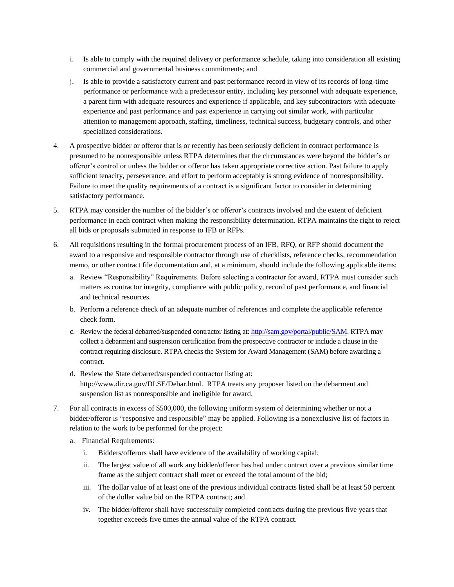- i. Is able to comply with the required delivery or performance schedule, taking into consideration all existing commercial and governmental business commitments; and
- j. Is able to provide a satisfactory current and past performance record in view of its records of long-time performance or performance with a predecessor entity, including key personnel with adequate experience, a parent firm with adequate resources and experience if applicable, and key subcontractors with adequate experience and past performance and past experience in carrying out similar work, with particular attention to management approach, staffing, timeliness, technical success, budgetary controls, and other specialized considerations.
- 4. A prospective bidder or offeror that is or recently has been seriously deficient in contract performance is presumed to be nonresponsible unless RTPA determines that the circumstances were beyond the bidder's or offeror's control or unless the bidder or offeror has taken appropriate corrective action. Past failure to apply sufficient tenacity, perseverance, and effort to perform acceptably is strong evidence of nonresponsibility. Failure to meet the quality requirements of a contract is a significant factor to consider in determining satisfactory performance.
- 5. RTPA may consider the number of the bidder's or offeror's contracts involved and the extent of deficient performance in each contract when making the responsibility determination. RTPA maintains the right to reject all bids or proposals submitted in response to IFB or RFPs.
- 6. All requisitions resulting in the formal procurement process of an IFB, RFQ, or RFP should document the award to a responsive and responsible contractor through use of checklists, reference checks, recommendation memo, or other contract file documentation and, at a minimum, should include the following applicable items:
	- a. Review "Responsibility" Requirements. Before selecting a contractor for award, RTPA must consider such matters as contractor integrity, compliance with public policy, record of past performance, and financial and technical resources.
	- b. Perform a reference check of an adequate number of references and complete the applicable reference check form.
	- c. Review the federal debarred/suspended contractor listing at: [http://sam.gov/portal/public/SAM.](http://sam.gov/portal/public/SAM) RTPA may collect a debarment and suspension certification from the prospective contractor or include a clause in the contract requiring disclosure. RTPA checks the System for Award Management (SAM) before awarding a contract.
	- d. Review the State debarred/suspended contractor listing at: [http://www.dir.ca.gov/DLSE/Debar.html.](http://www.dir.ca.gov/DLSE/Debar.html) RTPA treats any proposer listed on the debarment and suspension list as nonresponsible and ineligible for award.
- 7. For all contracts in excess of \$500,000, the following uniform system of determining whether or not a bidder/offeror is "responsive and responsible" may be applied. Following is a nonexclusive list of factors in relation to the work to be performed for the project:
	- a. Financial Requirements:
		- i. Bidders/offerors shall have evidence of the availability of working capital;
		- ii. The largest value of all work any bidder/offeror has had under contract over a previous similar time frame as the subject contract shall meet or exceed the total amount of the bid;
		- iii. The dollar value of at least one of the previous individual contracts listed shall be at least 50 percent of the dollar value bid on the RTPA contract; and
		- iv. The bidder/offeror shall have successfully completed contracts during the previous five years that together exceeds five times the annual value of the RTPA contract.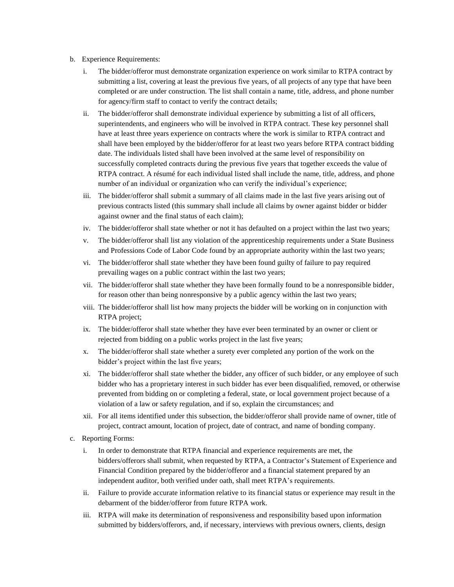- b. Experience Requirements:
	- i. The bidder/offeror must demonstrate organization experience on work similar to RTPA contract by submitting a list, covering at least the previous five years, of all projects of any type that have been completed or are under construction. The list shall contain a name, title, address, and phone number for agency/firm staff to contact to verify the contract details;
	- ii. The bidder/offeror shall demonstrate individual experience by submitting a list of all officers, superintendents, and engineers who will be involved in RTPA contract. These key personnel shall have at least three years experience on contracts where the work is similar to RTPA contract and shall have been employed by the bidder/offeror for at least two years before RTPA contract bidding date. The individuals listed shall have been involved at the same level of responsibility on successfully completed contracts during the previous five years that together exceeds the value of RTPA contract. A résumé for each individual listed shall include the name, title, address, and phone number of an individual or organization who can verify the individual's experience;
	- iii. The bidder/offeror shall submit a summary of all claims made in the last five years arising out of previous contracts listed (this summary shall include all claims by owner against bidder or bidder against owner and the final status of each claim);
	- iv. The bidder/offeror shall state whether or not it has defaulted on a project within the last two years;
	- v. The bidder/offeror shall list any violation of the apprenticeship requirements under a State Business and Professions Code of Labor Code found by an appropriate authority within the last two years;
	- vi. The bidder/offeror shall state whether they have been found guilty of failure to pay required prevailing wages on a public contract within the last two years;
	- vii. The bidder/offeror shall state whether they have been formally found to be a nonresponsible bidder, for reason other than being nonresponsive by a public agency within the last two years;
	- viii. The bidder/offeror shall list how many projects the bidder will be working on in conjunction with RTPA project;
	- ix. The bidder/offeror shall state whether they have ever been terminated by an owner or client or rejected from bidding on a public works project in the last five years;
	- x. The bidder/offeror shall state whether a surety ever completed any portion of the work on the bidder's project within the last five years;
	- xi. The bidder/offeror shall state whether the bidder, any officer of such bidder, or any employee of such bidder who has a proprietary interest in such bidder has ever been disqualified, removed, or otherwise prevented from bidding on or completing a federal, state, or local government project because of a violation of a law or safety regulation, and if so, explain the circumstances; and
	- xii. For all items identified under this subsection, the bidder/offeror shall provide name of owner, title of project, contract amount, location of project, date of contract, and name of bonding company.
- c. Reporting Forms:
	- i. In order to demonstrate that RTPA financial and experience requirements are met, the bidders/offerors shall submit, when requested by RTPA, a Contractor's Statement of Experience and Financial Condition prepared by the bidder/offeror and a financial statement prepared by an independent auditor, both verified under oath, shall meet RTPA's requirements.
	- ii. Failure to provide accurate information relative to its financial status or experience may result in the debarment of the bidder/offeror from future RTPA work.
	- iii. RTPA will make its determination of responsiveness and responsibility based upon information submitted by bidders/offerors, and, if necessary, interviews with previous owners, clients, design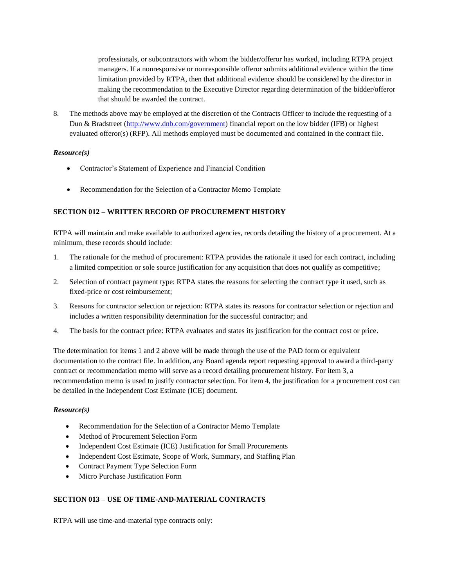professionals, or subcontractors with whom the bidder/offeror has worked, including RTPA project managers. If a nonresponsive or nonresponsible offeror submits additional evidence within the time limitation provided by RTPA, then that additional evidence should be considered by the director in making the recommendation to the Executive Director regarding determination of the bidder/offeror that should be awarded the contract.

8. The methods above may be employed at the discretion of the Contracts Officer to include the requesting of a Dun & Bradstreet [\(http://www.dnb.com/government\)](http://www.dnb.com/government) financial report on the low bidder (IFB) or highest evaluated offeror(s) (RFP). All methods employed must be documented and contained in the contract file.

## *Resource(s)*

- Contractor's Statement of Experience and Financial Condition
- Recommendation for the Selection of a Contractor Memo Template

## **SECTION 012 – WRITTEN RECORD OF PROCUREMENT HISTORY**

RTPA will maintain and make available to authorized agencies, records detailing the history of a procurement. At a minimum, these records should include:

- 1. The rationale for the method of procurement: RTPA provides the rationale it used for each contract, including a limited competition or sole source justification for any acquisition that does not qualify as competitive;
- 2. Selection of contract payment type: RTPA states the reasons for selecting the contract type it used, such as fixed-price or cost reimbursement;
- 3. Reasons for contractor selection or rejection: RTPA states its reasons for contractor selection or rejection and includes a written responsibility determination for the successful contractor; and
- 4. The basis for the contract price: RTPA evaluates and states its justification for the contract cost or price.

The determination for items 1 and 2 above will be made through the use of the PAD form or equivalent documentation to the contract file. In addition, any Board agenda report requesting approval to award a third-party contract or recommendation memo will serve as a record detailing procurement history. For item 3, a recommendation memo is used to justify contractor selection. For item 4, the justification for a procurement cost can be detailed in the Independent Cost Estimate (ICE) document.

## *Resource(s)*

- Recommendation for the Selection of a Contractor Memo Template
- Method of Procurement Selection Form
- Independent Cost Estimate (ICE) Justification for Small Procurements
- Independent Cost Estimate, Scope of Work, Summary, and Staffing Plan
- Contract Payment Type Selection Form
- Micro Purchase Justification Form

## **SECTION 013 – USE OF TIME-AND-MATERIAL CONTRACTS**

RTPA will use time-and-material type contracts only: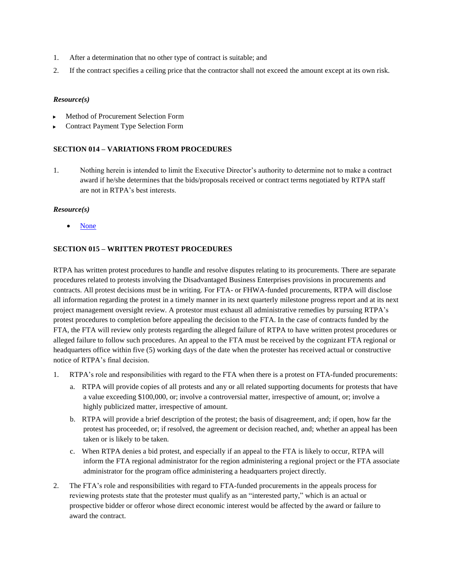- 1. After a determination that no other type of contract is suitable; and
- 2. If the contract specifies a ceiling price that the contractor shall not exceed the amount except at its own risk.

- Method of Procurement Selection Form
- Contract Payment Type Selection Form

#### **SECTION 014 – VARIATIONS FROM PROCEDURES**

1. Nothing herein is intended to limit the Executive Director's authority to determine not to make a contract award if he/she determines that the bids/proposals received or contract terms negotiated by RTPA staff are not in RTPA's best interests.

#### *Resource(s)*

None

## **SECTION 015 – WRITTEN PROTEST PROCEDURES**

RTPA has written protest procedures to handle and resolve disputes relating to its procurements. There are separate procedures related to protests involving the Disadvantaged Business Enterprises provisions in procurements and contracts. All protest decisions must be in writing. For FTA- or FHWA-funded procurements, RTPA will disclose all information regarding the protest in a timely manner in its next quarterly milestone progress report and at its next project management oversight review. A protestor must exhaust all administrative remedies by pursuing RTPA's protest procedures to completion before appealing the decision to the FTA. In the case of contracts funded by the FTA, the FTA will review only protests regarding the alleged failure of RTPA to have written protest procedures or alleged failure to follow such procedures. An appeal to the FTA must be received by the cognizant FTA regional or headquarters office within five (5) working days of the date when the protester has received actual or constructive notice of RTPA's final decision.

- 1. RTPA's role and responsibilities with regard to the FTA when there is a protest on FTA-funded procurements:
	- a. RTPA will provide copies of all protests and any or all related supporting documents for protests that have a value exceeding \$100,000, or; involve a controversial matter, irrespective of amount, or; involve a highly publicized matter, irrespective of amount.
	- b. RTPA will provide a brief description of the protest; the basis of disagreement, and; if open, how far the protest has proceeded, or; if resolved, the agreement or decision reached, and; whether an appeal has been taken or is likely to be taken.
	- c. When RTPA denies a bid protest, and especially if an appeal to the FTA is likely to occur, RTPA will inform the FTA regional administrator for the region administering a regional project or the FTA associate administrator for the program office administering a headquarters project directly.
- 2. The FTA's role and responsibilities with regard to FTA-funded procurements in the appeals process for reviewing protests state that the protester must qualify as an "interested party," which is an actual or prospective bidder or offeror whose direct economic interest would be affected by the award or failure to award the contract.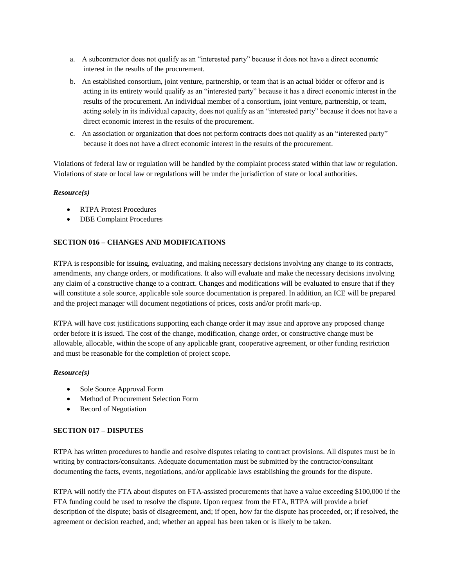- a. A subcontractor does not qualify as an "interested party" because it does not have a direct economic interest in the results of the procurement.
- b. An established consortium, joint venture, partnership, or team that is an actual bidder or offeror and is acting in its entirety would qualify as an "interested party" because it has a direct economic interest in the results of the procurement. An individual member of a consortium, joint venture, partnership, or team, acting solely in its individual capacity, does not qualify as an "interested party" because it does not have a direct economic interest in the results of the procurement.
- c. An association or organization that does not perform contracts does not qualify as an "interested party" because it does not have a direct economic interest in the results of the procurement.

Violations of federal law or regulation will be handled by the complaint process stated within that law or regulation. Violations of state or local law or regulations will be under the jurisdiction of state or local authorities.

## *Resource(s)*

- RTPA Protest Procedures
- DBE Complaint Procedures

## **SECTION 016 – CHANGES AND MODIFICATIONS**

RTPA is responsible for issuing, evaluating, and making necessary decisions involving any change to its contracts, amendments, any change orders, or modifications. It also will evaluate and make the necessary decisions involving any claim of a constructive change to a contract. Changes and modifications will be evaluated to ensure that if they will constitute a sole source, applicable sole source documentation is prepared. In addition, an ICE will be prepared and the project manager will document negotiations of prices, costs and/or profit mark-up.

RTPA will have cost justifications supporting each change order it may issue and approve any proposed change order before it is issued. The cost of the change, modification, change order, or constructive change must be allowable, allocable, within the scope of any applicable grant, cooperative agreement, or other funding restriction and must be reasonable for the completion of project scope.

## *Resource(s)*

- Sole Source Approval Form
- Method of Procurement Selection Form
- Record of Negotiation

## **SECTION 017 – DISPUTES**

RTPA has written procedures to handle and resolve disputes relating to contract provisions. All disputes must be in writing by contractors/consultants. Adequate documentation must be submitted by the contractor/consultant documenting the facts, events, negotiations, and/or applicable laws establishing the grounds for the dispute.

RTPA will notify the FTA about disputes on FTA-assisted procurements that have a value exceeding \$100,000 if the FTA funding could be used to resolve the dispute. Upon request from the FTA, RTPA will provide a brief description of the dispute; basis of disagreement, and; if open, how far the dispute has proceeded, or; if resolved, the agreement or decision reached, and; whether an appeal has been taken or is likely to be taken.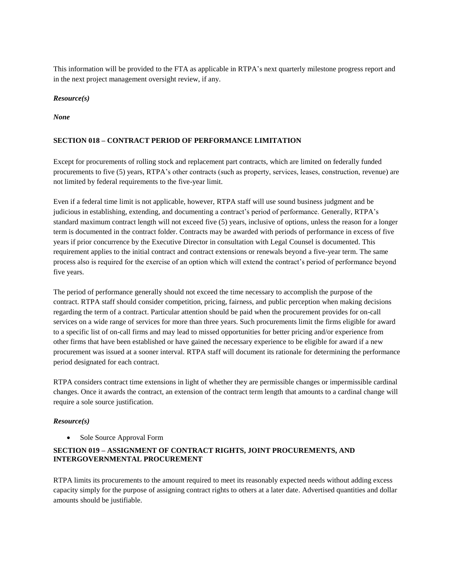This information will be provided to the FTA as applicable in RTPA's next quarterly milestone progress report and in the next project management oversight review, if any.

### *Resource(s)*

*None*

### **SECTION 018 – CONTRACT PERIOD OF PERFORMANCE LIMITATION**

Except for procurements of rolling stock and replacement part contracts, which are limited on federally funded procurements to five (5) years, RTPA's other contracts (such as property, services, leases, construction, revenue) are not limited by federal requirements to the five-year limit.

Even if a federal time limit is not applicable, however, RTPA staff will use sound business judgment and be judicious in establishing, extending, and documenting a contract's period of performance. Generally, RTPA's standard maximum contract length will not exceed five (5) years, inclusive of options, unless the reason for a longer term is documented in the contract folder. Contracts may be awarded with periods of performance in excess of five years if prior concurrence by the Executive Director in consultation with Legal Counsel is documented. This requirement applies to the initial contract and contract extensions or renewals beyond a five-year term. The same process also is required for the exercise of an option which will extend the contract's period of performance beyond five years.

The period of performance generally should not exceed the time necessary to accomplish the purpose of the contract. RTPA staff should consider competition, pricing, fairness, and public perception when making decisions regarding the term of a contract. Particular attention should be paid when the procurement provides for on-call services on a wide range of services for more than three years. Such procurements limit the firms eligible for award to a specific list of on-call firms and may lead to missed opportunities for better pricing and/or experience from other firms that have been established or have gained the necessary experience to be eligible for award if a new procurement was issued at a sooner interval. RTPA staff will document its rationale for determining the performance period designated for each contract.

RTPA considers contract time extensions in light of whether they are permissible changes or impermissible cardinal changes. Once it awards the contract, an extension of the contract term length that amounts to a cardinal change will require a sole source justification.

#### *Resource(s)*

Sole Source Approval Form

## **SECTION 019 – ASSIGNMENT OF CONTRACT RIGHTS, JOINT PROCUREMENTS, AND INTERGOVERNMENTAL PROCUREMENT**

RTPA limits its procurements to the amount required to meet its reasonably expected needs without adding excess capacity simply for the purpose of assigning contract rights to others at a later date. Advertised quantities and dollar amounts should be justifiable.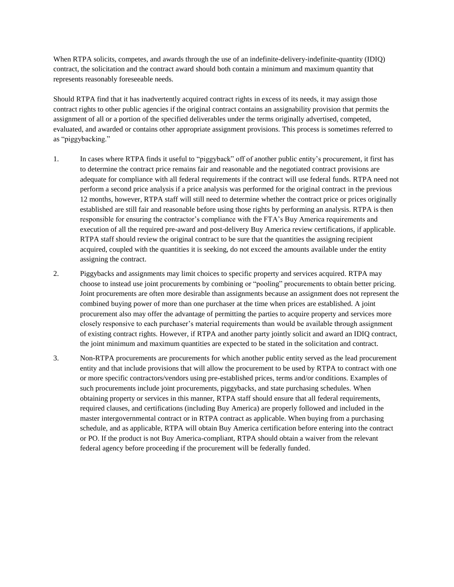When RTPA solicits, competes, and awards through the use of an indefinite-delivery-indefinite-quantity (IDIQ) contract, the solicitation and the contract award should both contain a minimum and maximum quantity that represents reasonably foreseeable needs.

Should RTPA find that it has inadvertently acquired contract rights in excess of its needs, it may assign those contract rights to other public agencies if the original contract contains an assignability provision that permits the assignment of all or a portion of the specified deliverables under the terms originally advertised, competed, evaluated, and awarded or contains other appropriate assignment provisions. This process is sometimes referred to as "piggybacking."

- 1. In cases where RTPA finds it useful to "piggyback" off of another public entity's procurement, it first has to determine the contract price remains fair and reasonable and the negotiated contract provisions are adequate for compliance with all federal requirements if the contract will use federal funds. RTPA need not perform a second price analysis if a price analysis was performed for the original contract in the previous 12 months, however, RTPA staff will still need to determine whether the contract price or prices originally established are still fair and reasonable before using those rights by performing an analysis. RTPA is then responsible for ensuring the contractor's compliance with the FTA's Buy America requirements and execution of all the required pre-award and post-delivery Buy America review certifications, if applicable. RTPA staff should review the original contract to be sure that the quantities the assigning recipient acquired, coupled with the quantities it is seeking, do not exceed the amounts available under the entity assigning the contract.
- 2. Piggybacks and assignments may limit choices to specific property and services acquired. RTPA may choose to instead use joint procurements by combining or "pooling" procurements to obtain better pricing. Joint procurements are often more desirable than assignments because an assignment does not represent the combined buying power of more than one purchaser at the time when prices are established. A joint procurement also may offer the advantage of permitting the parties to acquire property and services more closely responsive to each purchaser's material requirements than would be available through assignment of existing contract rights. However, if RTPA and another party jointly solicit and award an IDIQ contract, the joint minimum and maximum quantities are expected to be stated in the solicitation and contract.
- 3. Non-RTPA procurements are procurements for which another public entity served as the lead procurement entity and that include provisions that will allow the procurement to be used by RTPA to contract with one or more specific contractors/vendors using pre-established prices, terms and/or conditions. Examples of such procurements include joint procurements, piggybacks, and state purchasing schedules. When obtaining property or services in this manner, RTPA staff should ensure that all federal requirements, required clauses, and certifications (including Buy America) are properly followed and included in the master intergovernmental contract or in RTPA contract as applicable. When buying from a purchasing schedule, and as applicable, RTPA will obtain Buy America certification before entering into the contract or PO. If the product is not Buy America-compliant, RTPA should obtain a waiver from the relevant federal agency before proceeding if the procurement will be federally funded.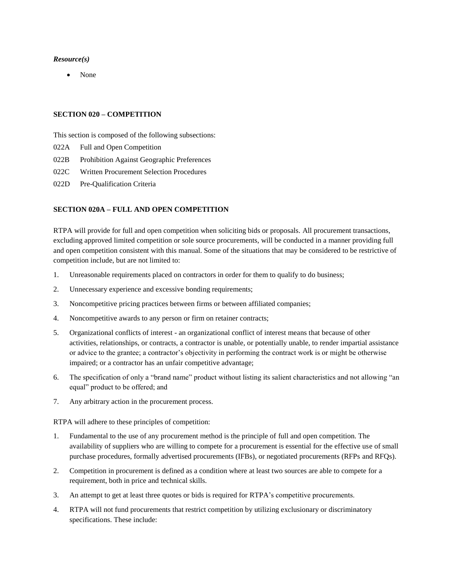None

#### **SECTION 020 – COMPETITION**

This section is composed of the following subsections:

- 022A Full and Open Competition
- 022B Prohibition Against Geographic Preferences
- 022C Written Procurement Selection Procedures
- 022D Pre-Qualification Criteria

#### **SECTION 020A – FULL AND OPEN COMPETITION**

RTPA will provide for full and open competition when soliciting bids or proposals. All procurement transactions, excluding approved limited competition or sole source procurements, will be conducted in a manner providing full and open competition consistent with this manual. Some of the situations that may be considered to be restrictive of competition include, but are not limited to:

- 1. Unreasonable requirements placed on contractors in order for them to qualify to do business;
- 2. Unnecessary experience and excessive bonding requirements;
- 3. Noncompetitive pricing practices between firms or between affiliated companies;
- 4. Noncompetitive awards to any person or firm on retainer contracts;
- 5. Organizational conflicts of interest an organizational conflict of interest means that because of other activities, relationships, or contracts, a contractor is unable, or potentially unable, to render impartial assistance or advice to the grantee; a contractor's objectivity in performing the contract work is or might be otherwise impaired; or a contractor has an unfair competitive advantage;
- 6. The specification of only a "brand name" product without listing its salient characteristics and not allowing "an equal" product to be offered; and
- 7. Any arbitrary action in the procurement process.

RTPA will adhere to these principles of competition:

- 1. Fundamental to the use of any procurement method is the principle of full and open competition. The availability of suppliers who are willing to compete for a procurement is essential for the effective use of small purchase procedures, formally advertised procurements (IFBs), or negotiated procurements (RFPs and RFQs).
- 2. Competition in procurement is defined as a condition where at least two sources are able to compete for a requirement, both in price and technical skills.
- 3. An attempt to get at least three quotes or bids is required for RTPA's competitive procurements.
- 4. RTPA will not fund procurements that restrict competition by utilizing exclusionary or discriminatory specifications. These include: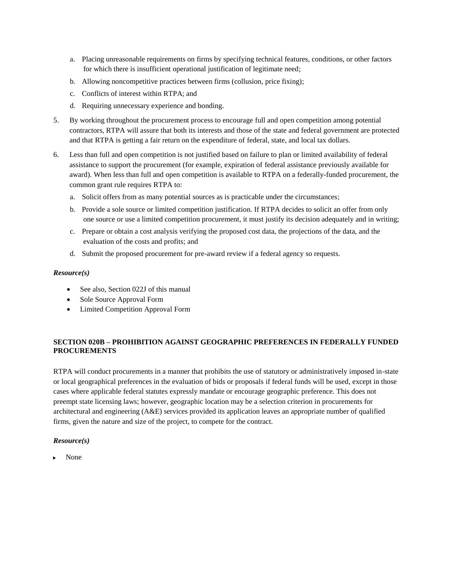- a. Placing unreasonable requirements on firms by specifying technical features, conditions, or other factors for which there is insufficient operational justification of legitimate need;
- b. Allowing noncompetitive practices between firms (collusion, price fixing);
- c. Conflicts of interest within RTPA; and
- d. Requiring unnecessary experience and bonding.
- 5. By working throughout the procurement process to encourage full and open competition among potential contractors, RTPA will assure that both its interests and those of the state and federal government are protected and that RTPA is getting a fair return on the expenditure of federal, state, and local tax dollars.
- 6. Less than full and open competition is not justified based on failure to plan or limited availability of federal assistance to support the procurement (for example, expiration of federal assistance previously available for award). When less than full and open competition is available to RTPA on a federally-funded procurement, the common grant rule requires RTPA to:
	- a. Solicit offers from as many potential sources as is practicable under the circumstances;
	- b. Provide a sole source or limited competition justification. If RTPA decides to solicit an offer from only one source or use a limited competition procurement, it must justify its decision adequately and in writing;
	- c. Prepare or obtain a cost analysis verifying the proposed cost data, the projections of the data, and the evaluation of the costs and profits; and
	- d. Submit the proposed procurement for pre-award review if a federal agency so requests.

- See also, Section 022J of this manual
- Sole Source Approval Form
- Limited Competition Approval Form

## **SECTION 020B – PROHIBITION AGAINST GEOGRAPHIC PREFERENCES IN FEDERALLY FUNDED PROCUREMENTS**

RTPA will conduct procurements in a manner that prohibits the use of statutory or administratively imposed in-state or local geographical preferences in the evaluation of bids or proposals if federal funds will be used, except in those cases where applicable federal statutes expressly mandate or encourage geographic preference. This does not preempt state licensing laws; however, geographic location may be a selection criterion in procurements for architectural and engineering (A&E) services provided its application leaves an appropriate number of qualified firms, given the nature and size of the project, to compete for the contract.

#### *Resource(s)*

None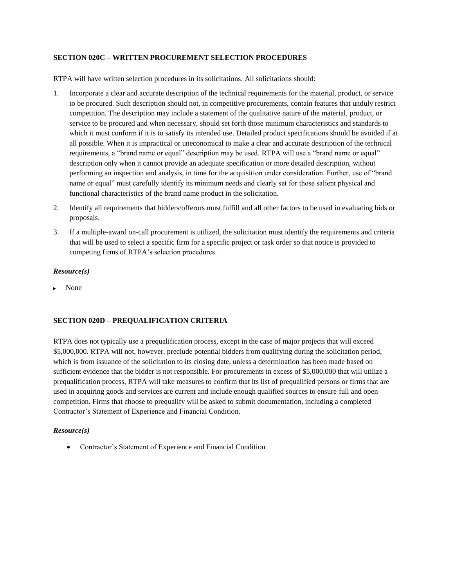## **SECTION 020C – WRITTEN PROCUREMENT SELECTION PROCEDURES**

RTPA will have written selection procedures in its solicitations. All solicitations should:

- 1. Incorporate a clear and accurate description of the technical requirements for the material, product, or service to be procured. Such description should not, in competitive procurements, contain features that unduly restrict competition. The description may include a statement of the qualitative nature of the material, product, or service to be procured and when necessary, should set forth those minimum characteristics and standards to which it must conform if it is to satisfy its intended use. Detailed product specifications should be avoided if at all possible. When it is impractical or uneconomical to make a clear and accurate description of the technical requirements, a "brand name or equal" description may be used. RTPA will use a "brand name or equal" description only when it cannot provide an adequate specification or more detailed description, without performing an inspection and analysis, in time for the acquisition under consideration. Further, use of "brand name or equal" must carefully identify its minimum needs and clearly set for those salient physical and functional characteristics of the brand name product in the solicitation.
- 2. Identify all requirements that bidders/offerors must fulfill and all other factors to be used in evaluating bids or proposals.
- 3. If a multiple-award on-call procurement is utilized, the solicitation must identify the requirements and criteria that will be used to select a specific firm for a specific project or task order so that notice is provided to competing firms of RTPA's selection procedures.

## *Resource(s)*

None

## **SECTION 020D – PREQUALIFICATION CRITERIA**

RTPA does not typically use a prequalification process, except in the case of major projects that will exceed \$5,000,000. RTPA will not, however, preclude potential bidders from qualifying during the solicitation period, which is from issuance of the solicitation to its closing date, unless a determination has been made based on sufficient evidence that the bidder is not responsible. For procurements in excess of \$5,000,000 that will utilize a prequalification process, RTPA will take measures to confirm that its list of prequalified persons or firms that are used in acquiring goods and services are current and include enough qualified sources to ensure full and open competition. Firms that choose to prequalify will be asked to submit documentation, including a completed Contractor's Statement of Experience and Financial Condition.

## *Resource(s)*

Contractor's Statement of Experience and Financial Condition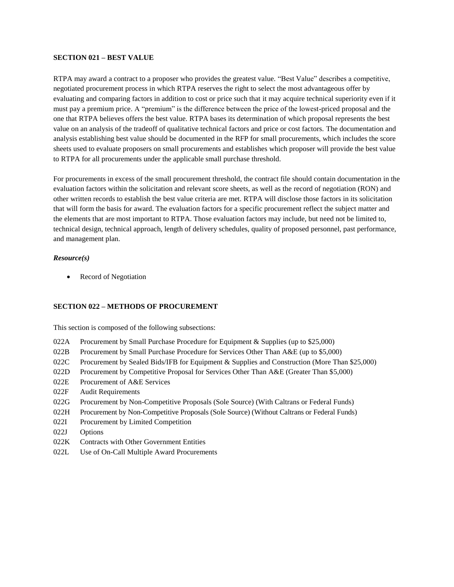#### **SECTION 021 – BEST VALUE**

RTPA may award a contract to a proposer who provides the greatest value. "Best Value" describes a competitive, negotiated procurement process in which RTPA reserves the right to select the most advantageous offer by evaluating and comparing factors in addition to cost or price such that it may acquire technical superiority even if it must pay a premium price. A "premium" is the difference between the price of the lowest-priced proposal and the one that RTPA believes offers the best value. RTPA bases its determination of which proposal represents the best value on an analysis of the tradeoff of qualitative technical factors and price or cost factors. The documentation and analysis establishing best value should be documented in the RFP for small procurements, which includes the score sheets used to evaluate proposers on small procurements and establishes which proposer will provide the best value to RTPA for all procurements under the applicable small purchase threshold.

For procurements in excess of the small procurement threshold, the contract file should contain documentation in the evaluation factors within the solicitation and relevant score sheets, as well as the record of negotiation (RON) and other written records to establish the best value criteria are met. RTPA will disclose those factors in its solicitation that will form the basis for award. The evaluation factors for a specific procurement reflect the subject matter and the elements that are most important to RTPA. Those evaluation factors may include, but need not be limited to, technical design, technical approach, length of delivery schedules, quality of proposed personnel, past performance, and management plan.

#### *Resource(s)*

Record of Negotiation

#### **SECTION 022 – METHODS OF PROCUREMENT**

This section is composed of the following subsections:

- 022A Procurement by Small Purchase Procedure for Equipment & Supplies (up to \$25,000)
- 022B Procurement by Small Purchase Procedure for Services Other Than A&E (up to \$5,000)
- 022C Procurement by Sealed Bids/IFB for Equipment & Supplies and Construction (More Than \$25,000)
- 022D Procurement by Competitive Proposal for Services Other Than A&E (Greater Than \$5,000)
- 022E Procurement of A&E Services
- 022F Audit Requirements
- 022G Procurement by Non-Competitive Proposals (Sole Source) (With Caltrans or Federal Funds)
- 022H Procurement by Non-Competitive Proposals (Sole Source) (Without Caltrans or Federal Funds)
- 022I Procurement by Limited Competition
- 022J Options
- 022K Contracts with Other Government Entities
- 022L Use of On-Call Multiple Award Procurements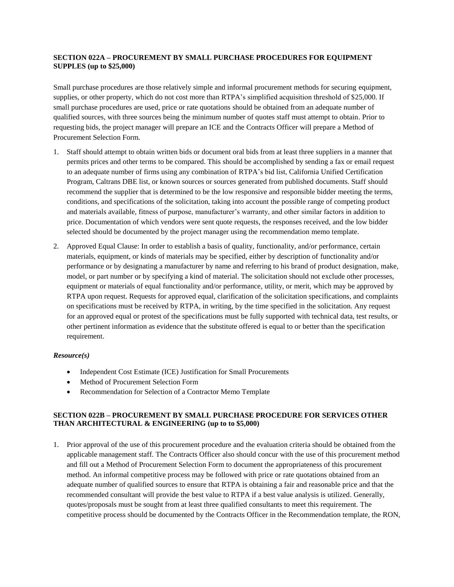## **SECTION 022A – PROCUREMENT BY SMALL PURCHASE PROCEDURES FOR EQUIPMENT SUPPLES (up to \$25,000)**

Small purchase procedures are those relatively simple and informal procurement methods for securing equipment, supplies, or other property, which do not cost more than RTPA's simplified acquisition threshold of \$25,000. If small purchase procedures are used, price or rate quotations should be obtained from an adequate number of qualified sources, with three sources being the minimum number of quotes staff must attempt to obtain. Prior to requesting bids, the project manager will prepare an ICE and the Contracts Officer will prepare a Method of Procurement Selection Form.

- 1. Staff should attempt to obtain written bids or document oral bids from at least three suppliers in a manner that permits prices and other terms to be compared. This should be accomplished by sending a fax or email request to an adequate number of firms using any combination of RTPA's bid list, California Unified Certification Program, Caltrans DBE list, or known sources or sources generated from published documents. Staff should recommend the supplier that is determined to be the low responsive and responsible bidder meeting the terms, conditions, and specifications of the solicitation, taking into account the possible range of competing product and materials available, fitness of purpose, manufacturer's warranty, and other similar factors in addition to price. Documentation of which vendors were sent quote requests, the responses received, and the low bidder selected should be documented by the project manager using the recommendation memo template.
- 2. Approved Equal Clause: In order to establish a basis of quality, functionality, and/or performance, certain materials, equipment, or kinds of materials may be specified, either by description of functionality and/or performance or by designating a manufacturer by name and referring to his brand of product designation, make, model, or part number or by specifying a kind of material. The solicitation should not exclude other processes, equipment or materials of equal functionality and/or performance, utility, or merit, which may be approved by RTPA upon request. Requests for approved equal, clarification of the solicitation specifications, and complaints on specifications must be received by RTPA, in writing, by the time specified in the solicitation. Any request for an approved equal or protest of the specifications must be fully supported with technical data, test results, or other pertinent information as evidence that the substitute offered is equal to or better than the specification requirement.

## *Resource(s)*

- Independent Cost Estimate (ICE) Justification for Small Procurements
- Method of Procurement Selection Form
- Recommendation for Selection of a Contractor Memo Template

## **SECTION 022B – PROCUREMENT BY SMALL PURCHASE PROCEDURE FOR SERVICES OTHER THAN ARCHITECTURAL & ENGINEERING (up to to \$5,000)**

1. Prior approval of the use of this procurement procedure and the evaluation criteria should be obtained from the applicable management staff. The Contracts Officer also should concur with the use of this procurement method and fill out a Method of Procurement Selection Form to document the appropriateness of this procurement method. An informal competitive process may be followed with price or rate quotations obtained from an adequate number of qualified sources to ensure that RTPA is obtaining a fair and reasonable price and that the recommended consultant will provide the best value to RTPA if a best value analysis is utilized. Generally, quotes/proposals must be sought from at least three qualified consultants to meet this requirement. The competitive process should be documented by the Contracts Officer in the Recommendation template, the RON,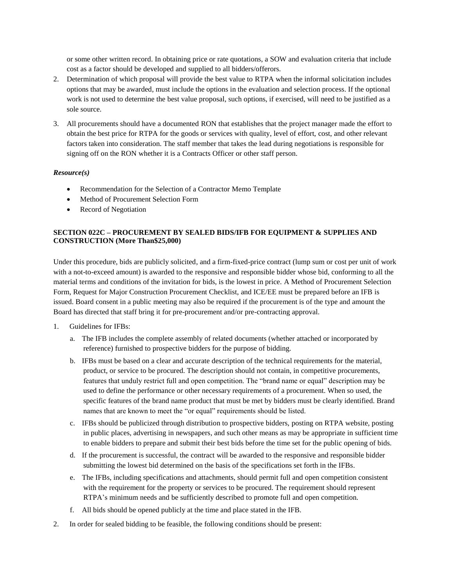or some other written record. In obtaining price or rate quotations, a SOW and evaluation criteria that include cost as a factor should be developed and supplied to all bidders/offerors.

- 2. Determination of which proposal will provide the best value to RTPA when the informal solicitation includes options that may be awarded, must include the options in the evaluation and selection process. If the optional work is not used to determine the best value proposal, such options, if exercised, will need to be justified as a sole source.
- 3. All procurements should have a documented RON that establishes that the project manager made the effort to obtain the best price for RTPA for the goods or services with quality, level of effort, cost, and other relevant factors taken into consideration. The staff member that takes the lead during negotiations is responsible for signing off on the RON whether it is a Contracts Officer or other staff person.

#### *Resource(s)*

- Recommendation for the Selection of a Contractor Memo Template
- Method of Procurement Selection Form
- Record of Negotiation

## **SECTION 022C – PROCUREMENT BY SEALED BIDS/IFB FOR EQUIPMENT & SUPPLIES AND CONSTRUCTION (More Than\$25,000)**

Under this procedure, bids are publicly solicited, and a firm-fixed-price contract (lump sum or cost per unit of work with a not-to-exceed amount) is awarded to the responsive and responsible bidder whose bid, conforming to all the material terms and conditions of the invitation for bids, is the lowest in price. A Method of Procurement Selection Form, Request for Major Construction Procurement Checklist, and ICE/EE must be prepared before an IFB is issued. Board consent in a public meeting may also be required if the procurement is of the type and amount the Board has directed that staff bring it for pre-procurement and/or pre-contracting approval.

- 1. Guidelines for IFBs:
	- a. The IFB includes the complete assembly of related documents (whether attached or incorporated by reference) furnished to prospective bidders for the purpose of bidding.
	- b. IFBs must be based on a clear and accurate description of the technical requirements for the material, product, or service to be procured. The description should not contain, in competitive procurements, features that unduly restrict full and open competition. The "brand name or equal" description may be used to define the performance or other necessary requirements of a procurement. When so used, the specific features of the brand name product that must be met by bidders must be clearly identified. Brand names that are known to meet the "or equal" requirements should be listed.
	- c. IFBs should be publicized through distribution to prospective bidders, posting on RTPA website, posting in public places, advertising in newspapers, and such other means as may be appropriate in sufficient time to enable bidders to prepare and submit their best bids before the time set for the public opening of bids.
	- d. If the procurement is successful, the contract will be awarded to the responsive and responsible bidder submitting the lowest bid determined on the basis of the specifications set forth in the IFBs.
	- e. The IFBs, including specifications and attachments, should permit full and open competition consistent with the requirement for the property or services to be procured. The requirement should represent RTPA's minimum needs and be sufficiently described to promote full and open competition.
	- f. All bids should be opened publicly at the time and place stated in the IFB.
- 2. In order for sealed bidding to be feasible, the following conditions should be present: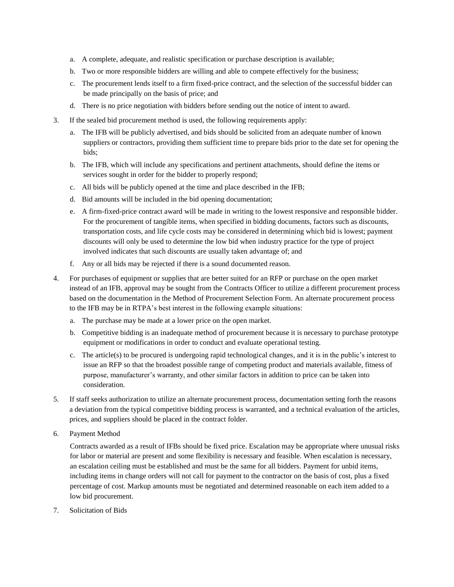- a. A complete, adequate, and realistic specification or purchase description is available;
- b. Two or more responsible bidders are willing and able to compete effectively for the business;
- c. The procurement lends itself to a firm fixed-price contract, and the selection of the successful bidder can be made principally on the basis of price; and
- d. There is no price negotiation with bidders before sending out the notice of intent to award.
- 3. If the sealed bid procurement method is used, the following requirements apply:
	- a. The IFB will be publicly advertised, and bids should be solicited from an adequate number of known suppliers or contractors, providing them sufficient time to prepare bids prior to the date set for opening the bids;
	- b. The IFB, which will include any specifications and pertinent attachments, should define the items or services sought in order for the bidder to properly respond;
	- c. All bids will be publicly opened at the time and place described in the IFB;
	- d. Bid amounts will be included in the bid opening documentation;
	- e. A firm-fixed-price contract award will be made in writing to the lowest responsive and responsible bidder. For the procurement of tangible items, when specified in bidding documents, factors such as discounts, transportation costs, and life cycle costs may be considered in determining which bid is lowest; payment discounts will only be used to determine the low bid when industry practice for the type of project involved indicates that such discounts are usually taken advantage of; and
	- f. Any or all bids may be rejected if there is a sound documented reason.
- 4. For purchases of equipment or supplies that are better suited for an RFP or purchase on the open market instead of an IFB, approval may be sought from the Contracts Officer to utilize a different procurement process based on the documentation in the Method of Procurement Selection Form. An alternate procurement process to the IFB may be in RTPA's best interest in the following example situations:
	- a. The purchase may be made at a lower price on the open market.
	- b. Competitive bidding is an inadequate method of procurement because it is necessary to purchase prototype equipment or modifications in order to conduct and evaluate operational testing.
	- c. The article(s) to be procured is undergoing rapid technological changes, and it is in the public's interest to issue an RFP so that the broadest possible range of competing product and materials available, fitness of purpose, manufacturer's warranty, and other similar factors in addition to price can be taken into consideration.
- 5. If staff seeks authorization to utilize an alternate procurement process, documentation setting forth the reasons a deviation from the typical competitive bidding process is warranted, and a technical evaluation of the articles, prices, and suppliers should be placed in the contract folder.
- 6. Payment Method

Contracts awarded as a result of IFBs should be fixed price. Escalation may be appropriate where unusual risks for labor or material are present and some flexibility is necessary and feasible. When escalation is necessary, an escalation ceiling must be established and must be the same for all bidders. Payment for unbid items, including items in change orders will not call for payment to the contractor on the basis of cost, plus a fixed percentage of cost. Markup amounts must be negotiated and determined reasonable on each item added to a low bid procurement.

7. Solicitation of Bids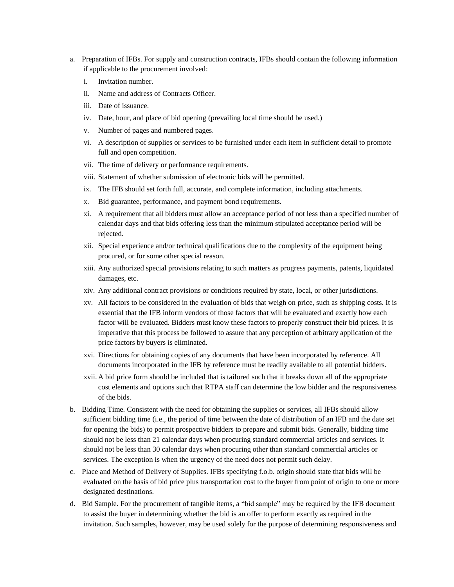- a. Preparation of IFBs. For supply and construction contracts, IFBs should contain the following information if applicable to the procurement involved:
	- i. Invitation number.
	- ii. Name and address of Contracts Officer.
	- iii. Date of issuance.
	- iv. Date, hour, and place of bid opening (prevailing local time should be used.)
	- v. Number of pages and numbered pages.
	- vi. A description of supplies or services to be furnished under each item in sufficient detail to promote full and open competition.
	- vii. The time of delivery or performance requirements.
	- viii. Statement of whether submission of electronic bids will be permitted.
	- ix. The IFB should set forth full, accurate, and complete information, including attachments.
	- x. Bid guarantee, performance, and payment bond requirements.
	- xi. A requirement that all bidders must allow an acceptance period of not less than a specified number of calendar days and that bids offering less than the minimum stipulated acceptance period will be rejected.
	- xii. Special experience and/or technical qualifications due to the complexity of the equipment being procured, or for some other special reason.
	- xiii. Any authorized special provisions relating to such matters as progress payments, patents, liquidated damages, etc.
	- xiv. Any additional contract provisions or conditions required by state, local, or other jurisdictions.
	- xv. All factors to be considered in the evaluation of bids that weigh on price, such as shipping costs. It is essential that the IFB inform vendors of those factors that will be evaluated and exactly how each factor will be evaluated. Bidders must know these factors to properly construct their bid prices. It is imperative that this process be followed to assure that any perception of arbitrary application of the price factors by buyers is eliminated.
	- xvi. Directions for obtaining copies of any documents that have been incorporated by reference. All documents incorporated in the IFB by reference must be readily available to all potential bidders.
	- xvii. A bid price form should be included that is tailored such that it breaks down all of the appropriate cost elements and options such that RTPA staff can determine the low bidder and the responsiveness of the bids.
- b. Bidding Time. Consistent with the need for obtaining the supplies or services, all IFBs should allow sufficient bidding time (i.e., the period of time between the date of distribution of an IFB and the date set for opening the bids) to permit prospective bidders to prepare and submit bids. Generally, bidding time should not be less than 21 calendar days when procuring standard commercial articles and services. It should not be less than 30 calendar days when procuring other than standard commercial articles or services. The exception is when the urgency of the need does not permit such delay.
- c. Place and Method of Delivery of Supplies. IFBs specifying f.o.b. origin should state that bids will be evaluated on the basis of bid price plus transportation cost to the buyer from point of origin to one or more designated destinations.
- d. Bid Sample. For the procurement of tangible items, a "bid sample" may be required by the IFB document to assist the buyer in determining whether the bid is an offer to perform exactly as required in the invitation. Such samples, however, may be used solely for the purpose of determining responsiveness and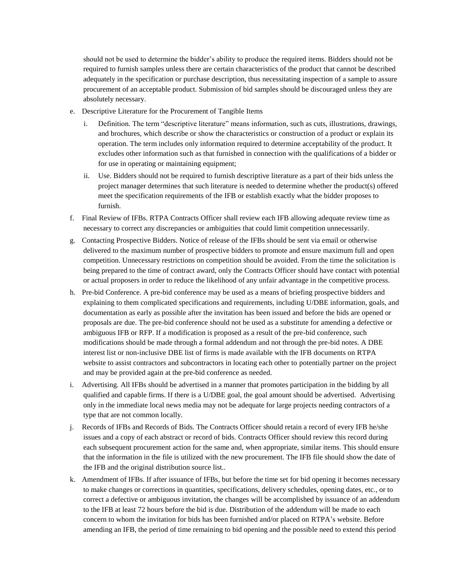should not be used to determine the bidder's ability to produce the required items. Bidders should not be required to furnish samples unless there are certain characteristics of the product that cannot be described adequately in the specification or purchase description, thus necessitating inspection of a sample to assure procurement of an acceptable product. Submission of bid samples should be discouraged unless they are absolutely necessary.

- e. Descriptive Literature for the Procurement of Tangible Items
	- i. Definition. The term "descriptive literature" means information, such as cuts, illustrations, drawings, and brochures, which describe or show the characteristics or construction of a product or explain its operation. The term includes only information required to determine acceptability of the product. It excludes other information such as that furnished in connection with the qualifications of a bidder or for use in operating or maintaining equipment;
	- ii. Use. Bidders should not be required to furnish descriptive literature as a part of their bids unless the project manager determines that such literature is needed to determine whether the product(s) offered meet the specification requirements of the IFB or establish exactly what the bidder proposes to furnish.
- f. Final Review of IFBs. RTPA Contracts Officer shall review each IFB allowing adequate review time as necessary to correct any discrepancies or ambiguities that could limit competition unnecessarily.
- g. Contacting Prospective Bidders. Notice of release of the IFBs should be sent via email or otherwise delivered to the maximum number of prospective bidders to promote and ensure maximum full and open competition. Unnecessary restrictions on competition should be avoided. From the time the solicitation is being prepared to the time of contract award, only the Contracts Officer should have contact with potential or actual proposers in order to reduce the likelihood of any unfair advantage in the competitive process.
- h. Pre-bid Conference. A pre-bid conference may be used as a means of briefing prospective bidders and explaining to them complicated specifications and requirements, including U/DBE information, goals, and documentation as early as possible after the invitation has been issued and before the bids are opened or proposals are due. The pre-bid conference should not be used as a substitute for amending a defective or ambiguous IFB or RFP. If a modification is proposed as a result of the pre-bid conference, such modifications should be made through a formal addendum and not through the pre-bid notes. A DBE interest list or non-inclusive DBE list of firms is made available with the IFB documents on RTPA website to assist contractors and subcontractors in locating each other to potentially partner on the project and may be provided again at the pre-bid conference as needed.
- i. Advertising. All IFBs should be advertised in a manner that promotes participation in the bidding by all qualified and capable firms. If there is a U/DBE goal, the goal amount should be advertised. Advertising only in the immediate local news media may not be adequate for large projects needing contractors of a type that are not common locally.
- j. Records of IFBs and Records of Bids. The Contracts Officer should retain a record of every IFB he/she issues and a copy of each abstract or record of bids. Contracts Officer should review this record during each subsequent procurement action for the same and, when appropriate, similar items. This should ensure that the information in the file is utilized with the new procurement. The IFB file should show the date of the IFB and the original distribution source list..
- k. Amendment of IFBs. If after issuance of IFBs, but before the time set for bid opening it becomes necessary to make changes or corrections in quantities, specifications, delivery schedules, opening dates, etc., or to correct a defective or ambiguous invitation, the changes will be accomplished by issuance of an addendum to the IFB at least 72 hours before the bid is due. Distribution of the addendum will be made to each concern to whom the invitation for bids has been furnished and/or placed on RTPA's website. Before amending an IFB, the period of time remaining to bid opening and the possible need to extend this period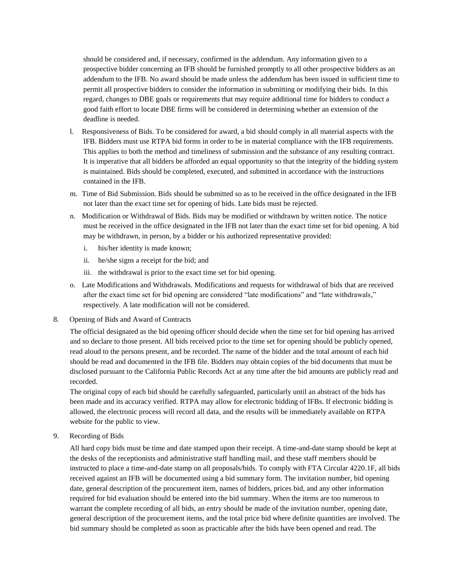should be considered and, if necessary, confirmed in the addendum. Any information given to a prospective bidder concerning an IFB should be furnished promptly to all other prospective bidders as an addendum to the IFB. No award should be made unless the addendum has been issued in sufficient time to permit all prospective bidders to consider the information in submitting or modifying their bids. In this regard, changes to DBE goals or requirements that may require additional time for bidders to conduct a good faith effort to locate DBE firms will be considered in determining whether an extension of the deadline is needed.

- l. Responsiveness of Bids. To be considered for award, a bid should comply in all material aspects with the IFB. Bidders must use RTPA bid forms in order to be in material compliance with the IFB requirements. This applies to both the method and timeliness of submission and the substance of any resulting contract. It is imperative that all bidders be afforded an equal opportunity so that the integrity of the bidding system is maintained. Bids should be completed, executed, and submitted in accordance with the instructions contained in the IFB.
- m. Time of Bid Submission. Bids should be submitted so as to be received in the office designated in the IFB not later than the exact time set for opening of bids. Late bids must be rejected.
- n. Modification or Withdrawal of Bids. Bids may be modified or withdrawn by written notice. The notice must be received in the office designated in the IFB not later than the exact time set for bid opening. A bid may be withdrawn, in person, by a bidder or his authorized representative provided:
	- i. his/her identity is made known;
	- ii. he/she signs a receipt for the bid; and
	- iii. the withdrawal is prior to the exact time set for bid opening.
- o. Late Modifications and Withdrawals. Modifications and requests for withdrawal of bids that are received after the exact time set for bid opening are considered "late modifications" and "late withdrawals," respectively. A late modification will not be considered.
- 8. Opening of Bids and Award of Contracts

The official designated as the bid opening officer should decide when the time set for bid opening has arrived and so declare to those present. All bids received prior to the time set for opening should be publicly opened, read aloud to the persons present, and be recorded. The name of the bidder and the total amount of each bid should be read and documented in the IFB file. Bidders may obtain copies of the bid documents that must be disclosed pursuant to the California Public Records Act at any time after the bid amounts are publicly read and recorded.

The original copy of each bid should be carefully safeguarded, particularly until an abstract of the bids has been made and its accuracy verified. RTPA may allow for electronic bidding of IFBs. If electronic bidding is allowed, the electronic process will record all data, and the results will be immediately available on RTPA website for the public to view.

9. Recording of Bids

All hard copy bids must be time and date stamped upon their receipt. A time-and-date stamp should be kept at the desks of the receptionists and administrative staff handling mail, and these staff members should be instructed to place a time-and-date stamp on all proposals/bids. To comply with FTA Circular 4220.1F, all bids received against an IFB will be documented using a bid summary form. The invitation number, bid opening date, general description of the procurement item, names of bidders, prices bid, and any other information required for bid evaluation should be entered into the bid summary. When the items are too numerous to warrant the complete recording of all bids, an entry should be made of the invitation number, opening date, general description of the procurement items, and the total price bid where definite quantities are involved. The bid summary should be completed as soon as practicable after the bids have been opened and read. The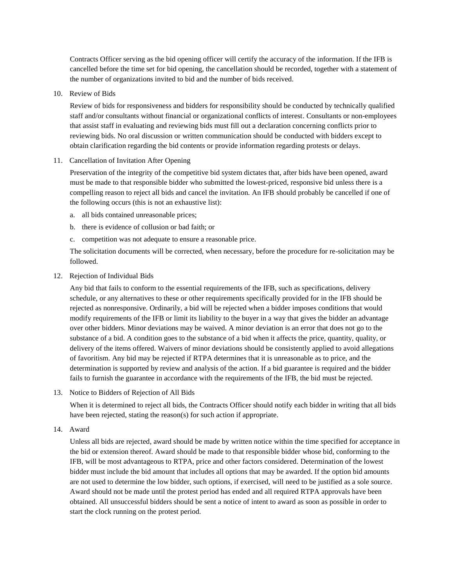Contracts Officer serving as the bid opening officer will certify the accuracy of the information. If the IFB is cancelled before the time set for bid opening, the cancellation should be recorded, together with a statement of the number of organizations invited to bid and the number of bids received.

10. Review of Bids

Review of bids for responsiveness and bidders for responsibility should be conducted by technically qualified staff and/or consultants without financial or organizational conflicts of interest. Consultants or non-employees that assist staff in evaluating and reviewing bids must fill out a declaration concerning conflicts prior to reviewing bids. No oral discussion or written communication should be conducted with bidders except to obtain clarification regarding the bid contents or provide information regarding protests or delays.

11. Cancellation of Invitation After Opening

Preservation of the integrity of the competitive bid system dictates that, after bids have been opened, award must be made to that responsible bidder who submitted the lowest-priced, responsive bid unless there is a compelling reason to reject all bids and cancel the invitation. An IFB should probably be cancelled if one of the following occurs (this is not an exhaustive list):

- a. all bids contained unreasonable prices;
- b. there is evidence of collusion or bad faith; or
- c. competition was not adequate to ensure a reasonable price.

The solicitation documents will be corrected, when necessary, before the procedure for re-solicitation may be followed.

12. Rejection of Individual Bids

Any bid that fails to conform to the essential requirements of the IFB, such as specifications, delivery schedule, or any alternatives to these or other requirements specifically provided for in the IFB should be rejected as nonresponsive. Ordinarily, a bid will be rejected when a bidder imposes conditions that would modify requirements of the IFB or limit its liability to the buyer in a way that gives the bidder an advantage over other bidders. Minor deviations may be waived. A minor deviation is an error that does not go to the substance of a bid. A condition goes to the substance of a bid when it affects the price, quantity, quality, or delivery of the items offered. Waivers of minor deviations should be consistently applied to avoid allegations of favoritism. Any bid may be rejected if RTPA determines that it is unreasonable as to price, and the determination is supported by review and analysis of the action. If a bid guarantee is required and the bidder fails to furnish the guarantee in accordance with the requirements of the IFB, the bid must be rejected.

13. Notice to Bidders of Rejection of All Bids

When it is determined to reject all bids, the Contracts Officer should notify each bidder in writing that all bids have been rejected, stating the reason(s) for such action if appropriate.

14. Award

Unless all bids are rejected, award should be made by written notice within the time specified for acceptance in the bid or extension thereof. Award should be made to that responsible bidder whose bid, conforming to the IFB, will be most advantageous to RTPA, price and other factors considered. Determination of the lowest bidder must include the bid amount that includes all options that may be awarded. If the option bid amounts are not used to determine the low bidder, such options, if exercised, will need to be justified as a sole source. Award should not be made until the protest period has ended and all required RTPA approvals have been obtained. All unsuccessful bidders should be sent a notice of intent to award as soon as possible in order to start the clock running on the protest period.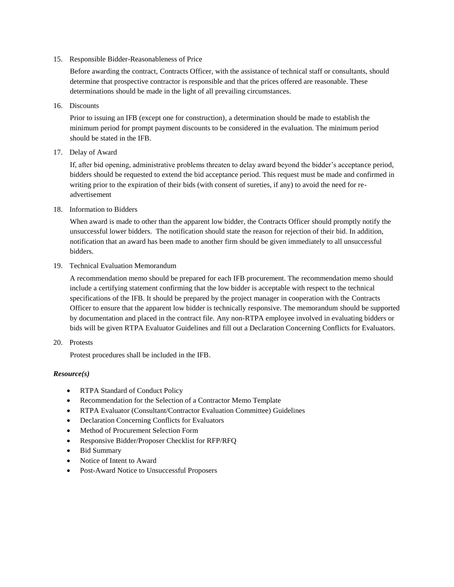15. Responsible Bidder-Reasonableness of Price

Before awarding the contract, Contracts Officer, with the assistance of technical staff or consultants, should determine that prospective contractor is responsible and that the prices offered are reasonable. These determinations should be made in the light of all prevailing circumstances.

16. Discounts

Prior to issuing an IFB (except one for construction), a determination should be made to establish the minimum period for prompt payment discounts to be considered in the evaluation. The minimum period should be stated in the IFB.

17. Delay of Award

If, after bid opening, administrative problems threaten to delay award beyond the bidder's acceptance period, bidders should be requested to extend the bid acceptance period. This request must be made and confirmed in writing prior to the expiration of their bids (with consent of sureties, if any) to avoid the need for readvertisement

#### 18. Information to Bidders

When award is made to other than the apparent low bidder, the Contracts Officer should promptly notify the unsuccessful lower bidders. The notification should state the reason for rejection of their bid. In addition, notification that an award has been made to another firm should be given immediately to all unsuccessful bidders.

#### 19. Technical Evaluation Memorandum

A recommendation memo should be prepared for each IFB procurement. The recommendation memo should include a certifying statement confirming that the low bidder is acceptable with respect to the technical specifications of the IFB. It should be prepared by the project manager in cooperation with the Contracts Officer to ensure that the apparent low bidder is technically responsive. The memorandum should be supported by documentation and placed in the contract file. Any non-RTPA employee involved in evaluating bidders or bids will be given RTPA Evaluator Guidelines and fill out a Declaration Concerning Conflicts for Evaluators.

20. Protests

Protest procedures shall be included in the IFB.

## *Resource(s)*

- RTPA Standard of Conduct Policy
- Recommendation for the Selection of a Contractor Memo Template
- RTPA Evaluator (Consultant/Contractor Evaluation Committee) Guidelines
- Declaration Concerning Conflicts for Evaluators
- Method of Procurement Selection Form
- Responsive Bidder/Proposer Checklist for RFP/RFQ
- Bid Summary
- Notice of Intent to Award
- Post-Award Notice to Unsuccessful Proposers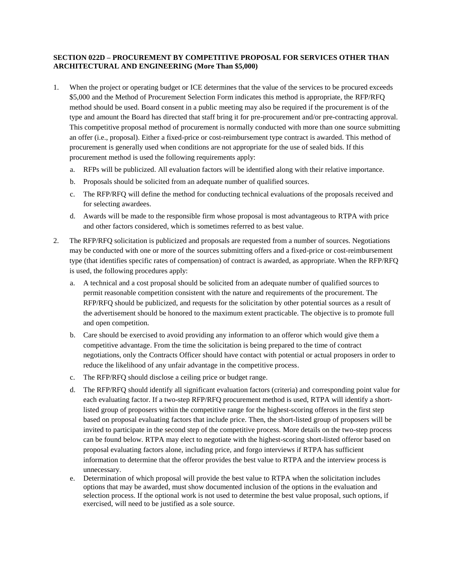## **SECTION 022D – PROCUREMENT BY COMPETITIVE PROPOSAL FOR SERVICES OTHER THAN ARCHITECTURAL AND ENGINEERING (More Than \$5,000)**

- 1. When the project or operating budget or ICE determines that the value of the services to be procured exceeds \$5,000 and the Method of Procurement Selection Form indicates this method is appropriate, the RFP/RFQ method should be used. Board consent in a public meeting may also be required if the procurement is of the type and amount the Board has directed that staff bring it for pre-procurement and/or pre-contracting approval. This competitive proposal method of procurement is normally conducted with more than one source submitting an offer (i.e., proposal). Either a fixed-price or cost-reimbursement type contract is awarded. This method of procurement is generally used when conditions are not appropriate for the use of sealed bids. If this procurement method is used the following requirements apply:
	- a. RFPs will be publicized. All evaluation factors will be identified along with their relative importance.
	- b. Proposals should be solicited from an adequate number of qualified sources.
	- c. The RFP/RFQ will define the method for conducting technical evaluations of the proposals received and for selecting awardees.
	- d. Awards will be made to the responsible firm whose proposal is most advantageous to RTPA with price and other factors considered, which is sometimes referred to as best value.
- 2. The RFP/RFQ solicitation is publicized and proposals are requested from a number of sources. Negotiations may be conducted with one or more of the sources submitting offers and a fixed-price or cost-reimbursement type (that identifies specific rates of compensation) of contract is awarded, as appropriate. When the RFP/RFQ is used, the following procedures apply:
	- a. A technical and a cost proposal should be solicited from an adequate number of qualified sources to permit reasonable competition consistent with the nature and requirements of the procurement. The RFP/RFQ should be publicized, and requests for the solicitation by other potential sources as a result of the advertisement should be honored to the maximum extent practicable. The objective is to promote full and open competition.
	- b. Care should be exercised to avoid providing any information to an offeror which would give them a competitive advantage. From the time the solicitation is being prepared to the time of contract negotiations, only the Contracts Officer should have contact with potential or actual proposers in order to reduce the likelihood of any unfair advantage in the competitive process.
	- c. The RFP/RFQ should disclose a ceiling price or budget range.
	- d. The RFP/RFQ should identify all significant evaluation factors (criteria) and corresponding point value for each evaluating factor. If a two-step RFP/RFQ procurement method is used, RTPA will identify a shortlisted group of proposers within the competitive range for the highest-scoring offerors in the first step based on proposal evaluating factors that include price. Then, the short-listed group of proposers will be invited to participate in the second step of the competitive process. More details on the two-step process can be found below. RTPA may elect to negotiate with the highest-scoring short-listed offeror based on proposal evaluating factors alone, including price, and forgo interviews if RTPA has sufficient information to determine that the offeror provides the best value to RTPA and the interview process is unnecessary.
	- e. Determination of which proposal will provide the best value to RTPA when the solicitation includes options that may be awarded, must show documented inclusion of the options in the evaluation and selection process. If the optional work is not used to determine the best value proposal, such options, if exercised, will need to be justified as a sole source.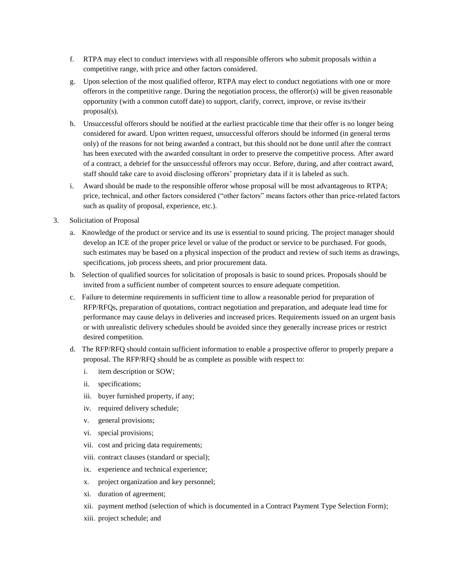- f. RTPA may elect to conduct interviews with all responsible offerors who submit proposals within a competitive range, with price and other factors considered.
- g. Upon selection of the most qualified offeror, RTPA may elect to conduct negotiations with one or more offerors in the competitive range. During the negotiation process, the offeror(s) will be given reasonable opportunity (with a common cutoff date) to support, clarify, correct, improve, or revise its/their proposal(s).
- h. Unsuccessful offerors should be notified at the earliest practicable time that their offer is no longer being considered for award. Upon written request, unsuccessful offerors should be informed (in general terms only) of the reasons for not being awarded a contract, but this should not be done until after the contract has been executed with the awarded consultant in order to preserve the competitive process. After award of a contract, a debrief for the unsuccessful offerors may occur. Before, during, and after contract award, staff should take care to avoid disclosing offerors' proprietary data if it is labeled as such.
- i. Award should be made to the responsible offeror whose proposal will be most advantageous to RTPA; price, technical, and other factors considered ("other factors" means factors other than price-related factors such as quality of proposal, experience, etc.).
- 3. Solicitation of Proposal
	- a. Knowledge of the product or service and its use is essential to sound pricing. The project manager should develop an ICE of the proper price level or value of the product or service to be purchased. For goods, such estimates may be based on a physical inspection of the product and review of such items as drawings, specifications, job process sheets, and prior procurement data.
	- b. Selection of qualified sources for solicitation of proposals is basic to sound prices. Proposals should be invited from a sufficient number of competent sources to ensure adequate competition.
	- c. Failure to determine requirements in sufficient time to allow a reasonable period for preparation of RFP/RFQs, preparation of quotations, contract negotiation and preparation, and adequate lead time for performance may cause delays in deliveries and increased prices. Requirements issued on an urgent basis or with unrealistic delivery schedules should be avoided since they generally increase prices or restrict desired competition.
	- d. The RFP/RFQ should contain sufficient information to enable a prospective offeror to properly prepare a proposal. The RFP/RFQ should be as complete as possible with respect to:
		- i. item description or SOW;
		- ii. specifications;
		- iii. buyer furnished property, if any;
		- iv. required delivery schedule;
		- v. general provisions;
		- vi. special provisions;
		- vii. cost and pricing data requirements;
		- viii. contract clauses (standard or special);
		- ix. experience and technical experience;
		- x. project organization and key personnel;
		- xi. duration of agreement;
		- xii. payment method (selection of which is documented in a Contract Payment Type Selection Form);
		- xiii. project schedule; and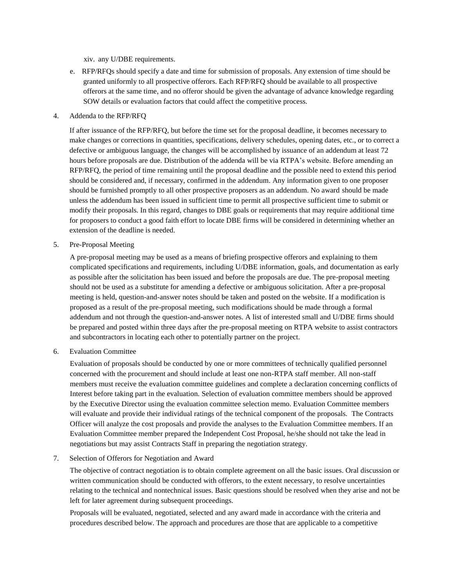xiv. any U/DBE requirements.

e. RFP/RFQs should specify a date and time for submission of proposals. Any extension of time should be granted uniformly to all prospective offerors. Each RFP/RFQ should be available to all prospective offerors at the same time, and no offeror should be given the advantage of advance knowledge regarding SOW details or evaluation factors that could affect the competitive process.

#### 4. Addenda to the RFP/RFQ

If after issuance of the RFP/RFQ, but before the time set for the proposal deadline, it becomes necessary to make changes or corrections in quantities, specifications, delivery schedules, opening dates, etc., or to correct a defective or ambiguous language, the changes will be accomplished by issuance of an addendum at least 72 hours before proposals are due. Distribution of the addenda will be via RTPA's website. Before amending an RFP/RFQ, the period of time remaining until the proposal deadline and the possible need to extend this period should be considered and, if necessary, confirmed in the addendum. Any information given to one proposer should be furnished promptly to all other prospective proposers as an addendum. No award should be made unless the addendum has been issued in sufficient time to permit all prospective sufficient time to submit or modify their proposals. In this regard, changes to DBE goals or requirements that may require additional time for proposers to conduct a good faith effort to locate DBE firms will be considered in determining whether an extension of the deadline is needed.

5. Pre-Proposal Meeting

A pre-proposal meeting may be used as a means of briefing prospective offerors and explaining to them complicated specifications and requirements, including U/DBE information, goals, and documentation as early as possible after the solicitation has been issued and before the proposals are due. The pre-proposal meeting should not be used as a substitute for amending a defective or ambiguous solicitation. After a pre-proposal meeting is held, question-and-answer notes should be taken and posted on the website. If a modification is proposed as a result of the pre-proposal meeting, such modifications should be made through a formal addendum and not through the question-and-answer notes. A list of interested small and U/DBE firms should be prepared and posted within three days after the pre-proposal meeting on RTPA website to assist contractors and subcontractors in locating each other to potentially partner on the project.

6. Evaluation Committee

Evaluation of proposals should be conducted by one or more committees of technically qualified personnel concerned with the procurement and should include at least one non-RTPA staff member. All non-staff members must receive the evaluation committee guidelines and complete a declaration concerning conflicts of Interest before taking part in the evaluation. Selection of evaluation committee members should be approved by the Executive Director using the evaluation committee selection memo. Evaluation Committee members will evaluate and provide their individual ratings of the technical component of the proposals. The Contracts Officer will analyze the cost proposals and provide the analyses to the Evaluation Committee members. If an Evaluation Committee member prepared the Independent Cost Proposal, he/she should not take the lead in negotiations but may assist Contracts Staff in preparing the negotiation strategy.

#### 7. Selection of Offerors for Negotiation and Award

The objective of contract negotiation is to obtain complete agreement on all the basic issues. Oral discussion or written communication should be conducted with offerors, to the extent necessary, to resolve uncertainties relating to the technical and nontechnical issues. Basic questions should be resolved when they arise and not be left for later agreement during subsequent proceedings.

Proposals will be evaluated, negotiated, selected and any award made in accordance with the criteria and procedures described below. The approach and procedures are those that are applicable to a competitive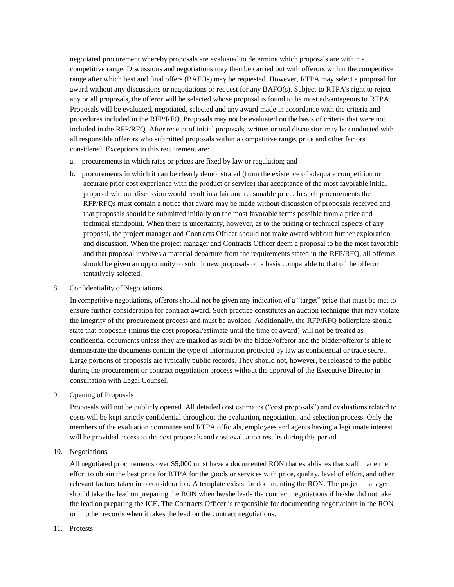negotiated procurement whereby proposals are evaluated to determine which proposals are within a competitive range. Discussions and negotiations may then be carried out with offerors within the competitive range after which best and final offers (BAFOs) may be requested. However, RTPA may select a proposal for award without any discussions or negotiations or request for any BAFO(s). Subject to RTPA's right to reject any or all proposals, the offeror will be selected whose proposal is found to be most advantageous to RTPA. Proposals will be evaluated, negotiated, selected and any award made in accordance with the criteria and procedures included in the RFP/RFQ. Proposals may not be evaluated on the basis of criteria that were not included in the RFP/RFQ. After receipt of initial proposals, written or oral discussion may be conducted with all responsible offerors who submitted proposals within a competitive range, price and other factors considered. Exceptions to this requirement are:

- a. procurements in which rates or prices are fixed by law or regulation; and
- b. procurements in which it can be clearly demonstrated (from the existence of adequate competition or accurate prior cost experience with the product or service) that acceptance of the most favorable initial proposal without discussion would result in a fair and reasonable price. In such procurements the RFP/RFQs must contain a notice that award may be made without discussion of proposals received and that proposals should be submitted initially on the most favorable terms possible from a price and technical standpoint. When there is uncertainty, however, as to the pricing or technical aspects of any proposal, the project manager and Contracts Officer should not make award without further exploration and discussion. When the project manager and Contracts Officer deem a proposal to be the most favorable and that proposal involves a material departure from the requirements stated in the RFP/RFQ, all offerors should be given an opportunity to submit new proposals on a basis comparable to that of the offeror tentatively selected.
- 8. Confidentiality of Negotiations

In competitive negotiations, offerors should not be given any indication of a "target" price that must be met to ensure further consideration for contract award. Such practice constitutes an auction technique that may violate the integrity of the procurement process and must be avoided. Additionally, the RFP/RFQ boilerplate should state that proposals (minus the cost proposal/estimate until the time of award) will not be treated as confidential documents unless they are marked as such by the bidder/offeror and the bidder/offeror is able to demonstrate the documents contain the type of information protected by law as confidential or trade secret. Large portions of proposals are typically public records. They should not, however, be released to the public during the procurement or contract negotiation process without the approval of the Executive Director in consultation with Legal Counsel.

9. Opening of Proposals

Proposals will not be publicly opened. All detailed cost estimates ("cost proposals") and evaluations related to costs will be kept strictly confidential throughout the evaluation, negotiation, and selection process. Only the members of the evaluation committee and RTPA officials, employees and agents having a legitimate interest will be provided access to the cost proposals and cost evaluation results during this period.

10. Negotiations

All negotiated procurements over \$5,000 must have a documented RON that establishes that staff made the effort to obtain the best price for RTPA for the goods or services with price, quality, level of effort, and other relevant factors taken into consideration. A template exists for documenting the RON. The project manager should take the lead on preparing the RON when he/she leads the contract negotiations if he/she did not take the lead on preparing the ICE. The Contracts Officer is responsible for documenting negotiations in the RON or in other records when it takes the lead on the contract negotiations.

#### 11. Protests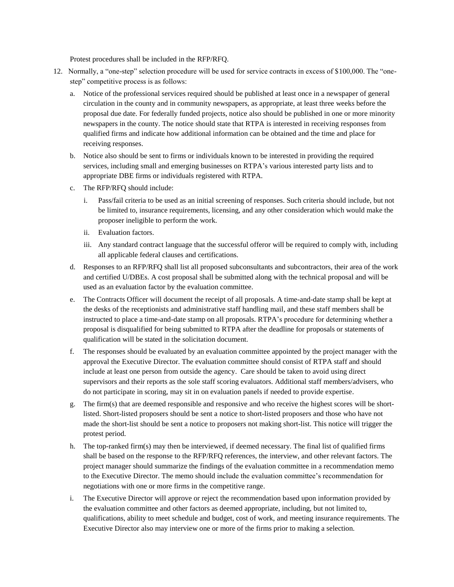Protest procedures shall be included in the RFP/RFQ.

- 12. Normally, a "one-step" selection procedure will be used for service contracts in excess of \$100,000. The "onestep" competitive process is as follows:
	- a. Notice of the professional services required should be published at least once in a newspaper of general circulation in the county and in community newspapers, as appropriate, at least three weeks before the proposal due date. For federally funded projects, notice also should be published in one or more minority newspapers in the county. The notice should state that RTPA is interested in receiving responses from qualified firms and indicate how additional information can be obtained and the time and place for receiving responses.
	- b. Notice also should be sent to firms or individuals known to be interested in providing the required services, including small and emerging businesses on RTPA's various interested party lists and to appropriate DBE firms or individuals registered with RTPA.
	- c. The RFP/RFQ should include:
		- i. Pass/fail criteria to be used as an initial screening of responses. Such criteria should include, but not be limited to, insurance requirements, licensing, and any other consideration which would make the proposer ineligible to perform the work.
		- ii. Evaluation factors.
		- iii. Any standard contract language that the successful offeror will be required to comply with, including all applicable federal clauses and certifications.
	- d. Responses to an RFP/RFQ shall list all proposed subconsultants and subcontractors, their area of the work and certified U/DBEs. A cost proposal shall be submitted along with the technical proposal and will be used as an evaluation factor by the evaluation committee.
	- e. The Contracts Officer will document the receipt of all proposals. A time-and-date stamp shall be kept at the desks of the receptionists and administrative staff handling mail, and these staff members shall be instructed to place a time-and-date stamp on all proposals. RTPA's procedure for determining whether a proposal is disqualified for being submitted to RTPA after the deadline for proposals or statements of qualification will be stated in the solicitation document.
	- f. The responses should be evaluated by an evaluation committee appointed by the project manager with the approval the Executive Director. The evaluation committee should consist of RTPA staff and should include at least one person from outside the agency. Care should be taken to avoid using direct supervisors and their reports as the sole staff scoring evaluators. Additional staff members/advisers, who do not participate in scoring, may sit in on evaluation panels if needed to provide expertise.
	- g. The firm(s) that are deemed responsible and responsive and who receive the highest scores will be shortlisted. Short-listed proposers should be sent a notice to short-listed proposers and those who have not made the short-list should be sent a notice to proposers not making short-list. This notice will trigger the protest period.
	- h. The top-ranked firm(s) may then be interviewed, if deemed necessary. The final list of qualified firms shall be based on the response to the RFP/RFQ references, the interview, and other relevant factors. The project manager should summarize the findings of the evaluation committee in a recommendation memo to the Executive Director. The memo should include the evaluation committee's recommendation for negotiations with one or more firms in the competitive range.
	- i. The Executive Director will approve or reject the recommendation based upon information provided by the evaluation committee and other factors as deemed appropriate, including, but not limited to, qualifications, ability to meet schedule and budget, cost of work, and meeting insurance requirements. The Executive Director also may interview one or more of the firms prior to making a selection.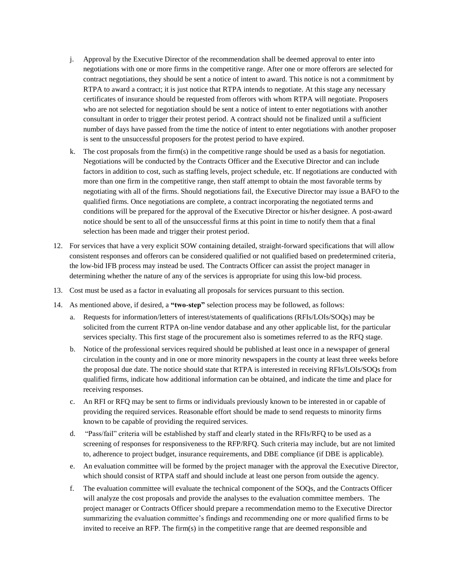- j. Approval by the Executive Director of the recommendation shall be deemed approval to enter into negotiations with one or more firms in the competitive range. After one or more offerors are selected for contract negotiations, they should be sent a notice of intent to award. This notice is not a commitment by RTPA to award a contract; it is just notice that RTPA intends to negotiate. At this stage any necessary certificates of insurance should be requested from offerors with whom RTPA will negotiate. Proposers who are not selected for negotiation should be sent a notice of intent to enter negotiations with another consultant in order to trigger their protest period. A contract should not be finalized until a sufficient number of days have passed from the time the notice of intent to enter negotiations with another proposer is sent to the unsuccessful proposers for the protest period to have expired.
- k. The cost proposals from the firm(s) in the competitive range should be used as a basis for negotiation. Negotiations will be conducted by the Contracts Officer and the Executive Director and can include factors in addition to cost, such as staffing levels, project schedule, etc. If negotiations are conducted with more than one firm in the competitive range, then staff attempt to obtain the most favorable terms by negotiating with all of the firms. Should negotiations fail, the Executive Director may issue a BAFO to the qualified firms. Once negotiations are complete, a contract incorporating the negotiated terms and conditions will be prepared for the approval of the Executive Director or his/her designee. A post-award notice should be sent to all of the unsuccessful firms at this point in time to notify them that a final selection has been made and trigger their protest period.
- 12. For services that have a very explicit SOW containing detailed, straight-forward specifications that will allow consistent responses and offerors can be considered qualified or not qualified based on predetermined criteria, the low-bid IFB process may instead be used. The Contracts Officer can assist the project manager in determining whether the nature of any of the services is appropriate for using this low-bid process.
- 13. Cost must be used as a factor in evaluating all proposals for services pursuant to this section.
- 14. As mentioned above, if desired, a **"two-step"** selection process may be followed, as follows:
	- a. Requests for information/letters of interest/statements of qualifications (RFIs/LOIs/SOQs) may be solicited from the current RTPA on-line vendor database and any other applicable list, for the particular services specialty. This first stage of the procurement also is sometimes referred to as the RFQ stage.
	- b. Notice of the professional services required should be published at least once in a newspaper of general circulation in the county and in one or more minority newspapers in the county at least three weeks before the proposal due date. The notice should state that RTPA is interested in receiving RFIs/LOIs/SOQs from qualified firms, indicate how additional information can be obtained, and indicate the time and place for receiving responses.
	- c. An RFI or RFQ may be sent to firms or individuals previously known to be interested in or capable of providing the required services. Reasonable effort should be made to send requests to minority firms known to be capable of providing the required services.
	- d. "Pass/fail" criteria will be established by staff and clearly stated in the RFIs/RFQ to be used as a screening of responses for responsiveness to the RFP/RFQ. Such criteria may include, but are not limited to, adherence to project budget, insurance requirements, and DBE compliance (if DBE is applicable).
	- e. An evaluation committee will be formed by the project manager with the approval the Executive Director, which should consist of RTPA staff and should include at least one person from outside the agency.
	- f. The evaluation committee will evaluate the technical component of the SOQs, and the Contracts Officer will analyze the cost proposals and provide the analyses to the evaluation committee members. The project manager or Contracts Officer should prepare a recommendation memo to the Executive Director summarizing the evaluation committee's findings and recommending one or more qualified firms to be invited to receive an RFP. The firm(s) in the competitive range that are deemed responsible and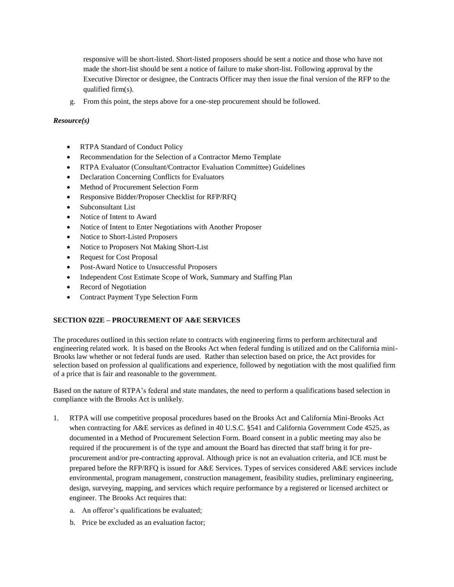responsive will be short-listed. Short-listed proposers should be sent a notice and those who have not made the short-list should be sent a notice of failure to make short-list. Following approval by the Executive Director or designee, the Contracts Officer may then issue the final version of the RFP to the qualified firm(s).

g. From this point, the steps above for a one-step procurement should be followed.

## *Resource(s)*

- RTPA Standard of Conduct Policy
- Recommendation for the Selection of a Contractor Memo Template
- RTPA Evaluator (Consultant/Contractor Evaluation Committee) Guidelines
- Declaration Concerning Conflicts for Evaluators
- Method of Procurement Selection Form
- Responsive Bidder/Proposer Checklist for RFP/RFQ
- Subconsultant List
- Notice of Intent to Award
- Notice of Intent to Enter Negotiations with Another Proposer
- Notice to Short-Listed Proposers
- Notice to Proposers Not Making Short-List
- Request for Cost Proposal
- Post-Award Notice to Unsuccessful Proposers
- Independent Cost Estimate Scope of Work, Summary and Staffing Plan
- Record of Negotiation
- Contract Payment Type Selection Form

## **SECTION 022E – PROCUREMENT OF A&E SERVICES**

The procedures outlined in this section relate to contracts with engineering firms to perform architectural and engineering related work. It is based on the Brooks Act when federal funding is utilized and on the California mini-Brooks law whether or not federal funds are used. Rather than selection based on price, the Act provides for selection based on profession al qualifications and experience, followed by negotiation with the most qualified firm of a price that is fair and reasonable to the government.

Based on the nature of RTPA's federal and state mandates, the need to perform a qualifications based selection in compliance with the Brooks Act is unlikely.

- 1. RTPA will use competitive proposal procedures based on the Brooks Act and California Mini-Brooks Act when contracting for A&E services as defined in 40 U.S.C. §541 and California Government Code 4525, as documented in a Method of Procurement Selection Form. Board consent in a public meeting may also be required if the procurement is of the type and amount the Board has directed that staff bring it for preprocurement and/or pre-contracting approval. Although price is not an evaluation criteria, and ICE must be prepared before the RFP/RFQ is issued for A&E Services. Types of services considered A&E services include environmental, program management, construction management, feasibility studies, preliminary engineering, design, surveying, mapping, and services which require performance by a registered or licensed architect or engineer. The Brooks Act requires that:
	- a. An offeror's qualifications be evaluated;
	- b. Price be excluded as an evaluation factor;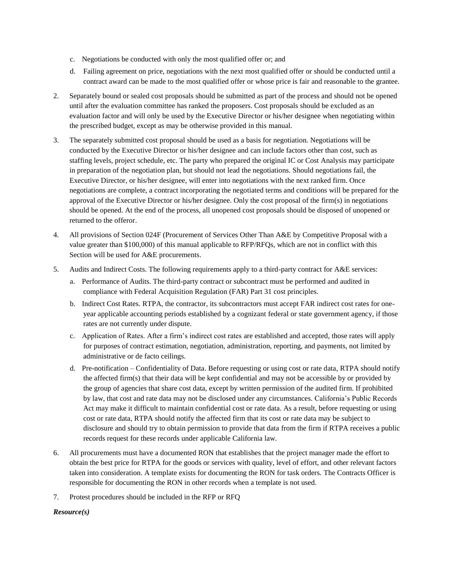- c. Negotiations be conducted with only the most qualified offer or; and
- d. Failing agreement on price, negotiations with the next most qualified offer or should be conducted until a contract award can be made to the most qualified offer or whose price is fair and reasonable to the grantee.
- 2. Separately bound or sealed cost proposals should be submitted as part of the process and should not be opened until after the evaluation committee has ranked the proposers. Cost proposals should be excluded as an evaluation factor and will only be used by the Executive Director or his/her designee when negotiating within the prescribed budget, except as may be otherwise provided in this manual.
- 3. The separately submitted cost proposal should be used as a basis for negotiation. Negotiations will be conducted by the Executive Director or his/her designee and can include factors other than cost, such as staffing levels, project schedule, etc. The party who prepared the original IC or Cost Analysis may participate in preparation of the negotiation plan, but should not lead the negotiations. Should negotiations fail, the Executive Director, or his/her designee, will enter into negotiations with the next ranked firm. Once negotiations are complete, a contract incorporating the negotiated terms and conditions will be prepared for the approval of the Executive Director or his/her designee. Only the cost proposal of the firm(s) in negotiations should be opened. At the end of the process, all unopened cost proposals should be disposed of unopened or returned to the offeror.
- 4. All provisions of Section 024F (Procurement of Services Other Than A&E by Competitive Proposal with a value greater than \$100,000) of this manual applicable to RFP/RFQs, which are not in conflict with this Section will be used for A&E procurements.
- 5. Audits and Indirect Costs. The following requirements apply to a third-party contract for A&E services:
	- a. Performance of Audits. The third-party contract or subcontract must be performed and audited in compliance with Federal Acquisition Regulation (FAR) Part 31 cost principles.
	- b. Indirect Cost Rates. RTPA, the contractor, its subcontractors must accept FAR indirect cost rates for oneyear applicable accounting periods established by a cognizant federal or state government agency, if those rates are not currently under dispute.
	- c. Application of Rates. After a firm's indirect cost rates are established and accepted, those rates will apply for purposes of contract estimation, negotiation, administration, reporting, and payments, not limited by administrative or de facto ceilings.
	- d. Pre-notification Confidentiality of Data. Before requesting or using cost or rate data, RTPA should notify the affected firm(s) that their data will be kept confidential and may not be accessible by or provided by the group of agencies that share cost data, except by written permission of the audited firm. If prohibited by law, that cost and rate data may not be disclosed under any circumstances. California's Public Records Act may make it difficult to maintain confidential cost or rate data. As a result, before requesting or using cost or rate data, RTPA should notify the affected firm that its cost or rate data may be subject to disclosure and should try to obtain permission to provide that data from the firm if RTPA receives a public records request for these records under applicable California law.
- 6. All procurements must have a documented RON that establishes that the project manager made the effort to obtain the best price for RTPA for the goods or services with quality, level of effort, and other relevant factors taken into consideration. A template exists for documenting the RON for task orders. The Contracts Officer is responsible for documenting the RON in other records when a template is not used.
- 7. Protest procedures should be included in the RFP or RFQ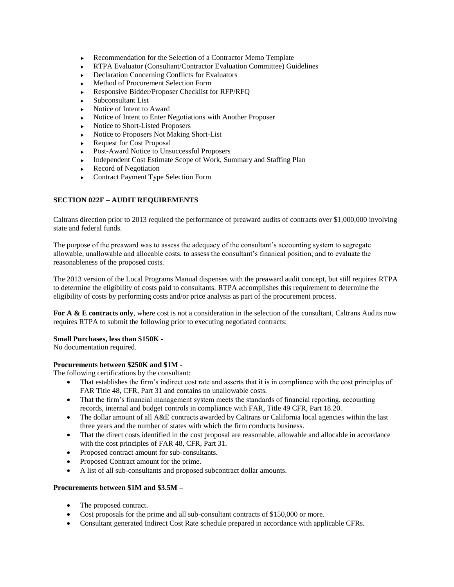- Recommendation for the Selection of a Contractor Memo Template
- RTPA Evaluator (Consultant/Contractor Evaluation Committee) Guidelines
- ▶ Declaration Concerning Conflicts for Evaluators
- Method of Procurement Selection Form
- Responsive Bidder/Proposer Checklist for RFP/RFQ
- Subconsultant List
- Notice of Intent to Award
- Notice of Intent to Enter Negotiations with Another Proposer
- Notice to Short-Listed Proposers
- Notice to Proposers Not Making Short-List
- ▶ Request for Cost Proposal
- Post-Award Notice to Unsuccessful Proposers
- Independent Cost Estimate Scope of Work, Summary and Staffing Plan
- $\blacktriangleright$  Record of Negotiation
- ▶ Contract Payment Type Selection Form

## **SECTION 022F – AUDIT REQUIREMENTS**

Caltrans direction prior to 2013 required the performance of preaward audits of contracts over \$1,000,000 involving state and federal funds.

The purpose of the preaward was to assess the adequacy of the consultant's accounting system to segregate allowable, unallowable and allocable costs, to assess the consultant's finanical position; and to evaluate the reasonableness of the proposed costs.

The 2013 version of the Local Programs Manual dispenses with the preaward audit concept, but still requires RTPA to determine the eligibility of costs paid to consultants. RTPA accomplishes this requirement to determine the eligibility of costs by performing costs and/or price analysis as part of the procurement process.

**For A & E contracts only**, where cost is not a consideration in the selection of the consultant, Caltrans Audits now requires RTPA to submit the following prior to executing negotiated contracts:

#### **Small Purchases, less than \$150K -**

No documentation required.

#### **Procurements between \$250K and \$1M -**

The following certifications by the consultant:

- That establishes the firm's indirect cost rate and asserts that it is in compliance with the cost principles of FAR Title 48, CFR, Part 31 and contains no unallowable costs.
- That the firm's financial management system meets the standards of financial reporting, accounting records, internal and budget controls in compliance with FAR, Title 49 CFR, Part 18.20.
- The dollar amount of all A&E contracts awarded by Caltrans or California local agencies within the last three years and the number of states with which the firm conducts business.
- That the direct costs identified in the cost proposal are reasonable, allowable and allocable in accordance with the cost principles of FAR 48, CFR, Part 31.
- Proposed contract amount for sub-consultants.
- Proposed Contract amount for the prime.
- A list of all sub-consultants and proposed subcontract dollar amounts.

#### **Procurements between \$1M and \$3.5M –**

- The proposed contract.
- Cost proposals for the prime and all sub-consultant contracts of \$150,000 or more.
- Consultant generated Indirect Cost Rate schedule prepared in accordance with applicable CFRs.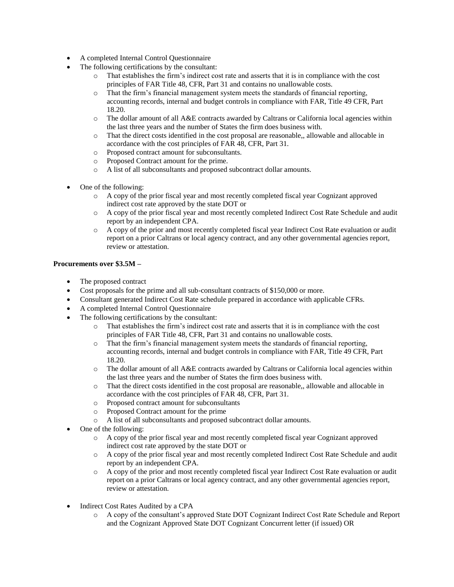- A completed Internal Control Questionnaire
- The following certifications by the consultant:
	- o That establishes the firm's indirect cost rate and asserts that it is in compliance with the cost principles of FAR Title 48, CFR, Part 31 and contains no unallowable costs.
	- o That the firm's financial management system meets the standards of financial reporting, accounting records, internal and budget controls in compliance with FAR, Title 49 CFR, Part 18.20.
	- o The dollar amount of all A&E contracts awarded by Caltrans or California local agencies within the last three years and the number of States the firm does business with.
	- o That the direct costs identified in the cost proposal are reasonable,, allowable and allocable in accordance with the cost principles of FAR 48, CFR, Part 31.
	- o Proposed contract amount for subconsultants.
	- o Proposed Contract amount for the prime.
	- o A list of all subconsultants and proposed subcontract dollar amounts.
- One of the following:
	- o A copy of the prior fiscal year and most recently completed fiscal year Cognizant approved indirect cost rate approved by the state DOT or
	- o A copy of the prior fiscal year and most recently completed Indirect Cost Rate Schedule and audit report by an independent CPA.
	- o A copy of the prior and most recently completed fiscal year Indirect Cost Rate evaluation or audit report on a prior Caltrans or local agency contract, and any other governmental agencies report, review or attestation.

## **Procurements over \$3.5M –**

- The proposed contract
- Cost proposals for the prime and all sub-consultant contracts of \$150,000 or more.
- Consultant generated Indirect Cost Rate schedule prepared in accordance with applicable CFRs.
- A completed Internal Control Questionnaire
- The following certifications by the consultant:
	- o That establishes the firm's indirect cost rate and asserts that it is in compliance with the cost principles of FAR Title 48, CFR, Part 31 and contains no unallowable costs.
	- o That the firm's financial management system meets the standards of financial reporting, accounting records, internal and budget controls in compliance with FAR, Title 49 CFR, Part 18.20.
	- o The dollar amount of all A&E contracts awarded by Caltrans or California local agencies within the last three years and the number of States the firm does business with.
	- o That the direct costs identified in the cost proposal are reasonable,, allowable and allocable in accordance with the cost principles of FAR 48, CFR, Part 31.
	- o Proposed contract amount for subconsultants
	- o Proposed Contract amount for the prime
	- o A list of all subconsultants and proposed subcontract dollar amounts.
- One of the following:
	- o A copy of the prior fiscal year and most recently completed fiscal year Cognizant approved indirect cost rate approved by the state DOT or
	- o A copy of the prior fiscal year and most recently completed Indirect Cost Rate Schedule and audit report by an independent CPA.
	- o A copy of the prior and most recently completed fiscal year Indirect Cost Rate evaluation or audit report on a prior Caltrans or local agency contract, and any other governmental agencies report, review or attestation.
- Indirect Cost Rates Audited by a CPA
	- o A copy of the consultant's approved State DOT Cognizant Indirect Cost Rate Schedule and Report and the Cognizant Approved State DOT Cognizant Concurrent letter (if issued) OR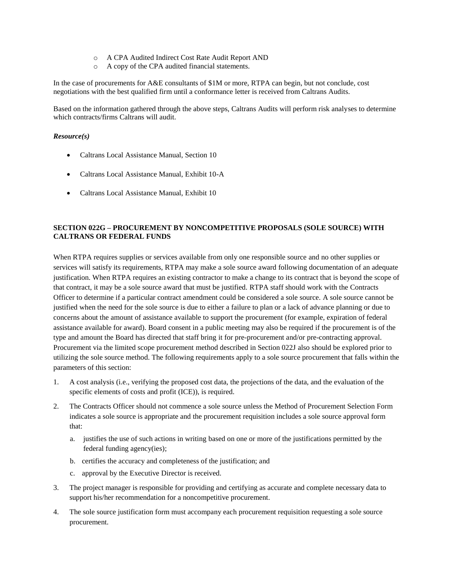- o A CPA Audited Indirect Cost Rate Audit Report AND
- o A copy of the CPA audited financial statements.

In the case of procurements for A&E consultants of \$1M or more, RTPA can begin, but not conclude, cost negotiations with the best qualified firm until a conformance letter is received from Caltrans Audits.

Based on the information gathered through the above steps, Caltrans Audits will perform risk analyses to determine which contracts/firms Caltrans will audit.

#### *Resource(s)*

- Caltrans Local Assistance Manual, Section 10
- Caltrans Local Assistance Manual, Exhibit 10-A
- Caltrans Local Assistance Manual, Exhibit 10

## **SECTION 022G – PROCUREMENT BY NONCOMPETITIVE PROPOSALS (SOLE SOURCE) WITH CALTRANS OR FEDERAL FUNDS**

When RTPA requires supplies or services available from only one responsible source and no other supplies or services will satisfy its requirements, RTPA may make a sole source award following documentation of an adequate justification. When RTPA requires an existing contractor to make a change to its contract that is beyond the scope of that contract, it may be a sole source award that must be justified. RTPA staff should work with the Contracts Officer to determine if a particular contract amendment could be considered a sole source. A sole source cannot be justified when the need for the sole source is due to either a failure to plan or a lack of advance planning or due to concerns about the amount of assistance available to support the procurement (for example, expiration of federal assistance available for award). Board consent in a public meeting may also be required if the procurement is of the type and amount the Board has directed that staff bring it for pre-procurement and/or pre-contracting approval. Procurement via the limited scope procurement method described in Section 022J also should be explored prior to utilizing the sole source method. The following requirements apply to a sole source procurement that falls within the parameters of this section:

- 1. A cost analysis (i.e., verifying the proposed cost data, the projections of the data, and the evaluation of the specific elements of costs and profit (ICE)), is required.
- 2. The Contracts Officer should not commence a sole source unless the Method of Procurement Selection Form indicates a sole source is appropriate and the procurement requisition includes a sole source approval form that:
	- a. justifies the use of such actions in writing based on one or more of the justifications permitted by the federal funding agency(ies);
	- b. certifies the accuracy and completeness of the justification; and
	- c. approval by the Executive Director is received.
- 3. The project manager is responsible for providing and certifying as accurate and complete necessary data to support his/her recommendation for a noncompetitive procurement.
- 4. The sole source justification form must accompany each procurement requisition requesting a sole source procurement.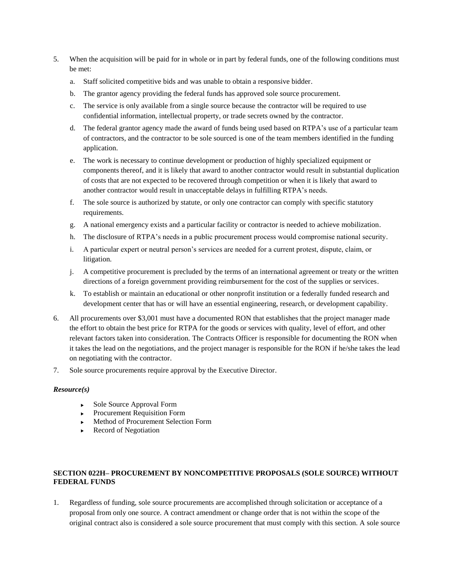- 5. When the acquisition will be paid for in whole or in part by federal funds, one of the following conditions must be met:
	- a. Staff solicited competitive bids and was unable to obtain a responsive bidder.
	- b. The grantor agency providing the federal funds has approved sole source procurement.
	- c. The service is only available from a single source because the contractor will be required to use confidential information, intellectual property, or trade secrets owned by the contractor.
	- d. The federal grantor agency made the award of funds being used based on RTPA's use of a particular team of contractors, and the contractor to be sole sourced is one of the team members identified in the funding application.
	- e. The work is necessary to continue development or production of highly specialized equipment or components thereof, and it is likely that award to another contractor would result in substantial duplication of costs that are not expected to be recovered through competition or when it is likely that award to another contractor would result in unacceptable delays in fulfilling RTPA's needs.
	- f. The sole source is authorized by statute, or only one contractor can comply with specific statutory requirements.
	- g. A national emergency exists and a particular facility or contractor is needed to achieve mobilization.
	- h. The disclosure of RTPA's needs in a public procurement process would compromise national security.
	- i. A particular expert or neutral person's services are needed for a current protest, dispute, claim, or litigation.
	- j. A competitive procurement is precluded by the terms of an international agreement or treaty or the written directions of a foreign government providing reimbursement for the cost of the supplies or services.
	- k. To establish or maintain an educational or other nonprofit institution or a federally funded research and development center that has or will have an essential engineering, research, or development capability.
- 6. All procurements over \$3,001 must have a documented RON that establishes that the project manager made the effort to obtain the best price for RTPA for the goods or services with quality, level of effort, and other relevant factors taken into consideration. The Contracts Officer is responsible for documenting the RON when it takes the lead on the negotiations, and the project manager is responsible for the RON if he/she takes the lead on negotiating with the contractor.
- 7. Sole source procurements require approval by the Executive Director.

- ► Sole Source Approval Form
- **Procurement Requisition Form**
- Method of Procurement Selection Form
- $\blacktriangleright$  Record of Negotiation

## **SECTION 022H– PROCUREMENT BY NONCOMPETITIVE PROPOSALS (SOLE SOURCE) WITHOUT FEDERAL FUNDS**

1. Regardless of funding, sole source procurements are accomplished through solicitation or acceptance of a proposal from only one source. A contract amendment or change order that is not within the scope of the original contract also is considered a sole source procurement that must comply with this section. A sole source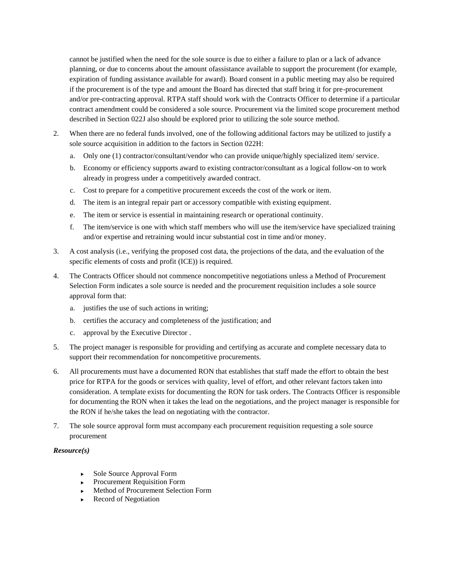cannot be justified when the need for the sole source is due to either a failure to plan or a lack of advance planning, or due to concerns about the amount ofassistance available to support the procurement (for example, expiration of funding assistance available for award). Board consent in a public meeting may also be required if the procurement is of the type and amount the Board has directed that staff bring it for pre-procurement and/or pre-contracting approval. RTPA staff should work with the Contracts Officer to determine if a particular contract amendment could be considered a sole source. Procurement via the limited scope procurement method described in Section 022J also should be explored prior to utilizing the sole source method.

- 2. When there are no federal funds involved, one of the following additional factors may be utilized to justify a sole source acquisition in addition to the factors in Section 022H:
	- a. Only one (1) contractor/consultant/vendor who can provide unique/highly specialized item/ service.
	- b. Economy or efficiency supports award to existing contractor/consultant as a logical follow-on to work already in progress under a competitively awarded contract.
	- c. Cost to prepare for a competitive procurement exceeds the cost of the work or item.
	- d. The item is an integral repair part or accessory compatible with existing equipment.
	- e. The item or service is essential in maintaining research or operational continuity.
	- f. The item/service is one with which staff members who will use the item/service have specialized training and/or expertise and retraining would incur substantial cost in time and/or money.
- 3. A cost analysis (i.e., verifying the proposed cost data, the projections of the data, and the evaluation of the specific elements of costs and profit (ICE)) is required.
- 4. The Contracts Officer should not commence noncompetitive negotiations unless a Method of Procurement Selection Form indicates a sole source is needed and the procurement requisition includes a sole source approval form that:
	- a. justifies the use of such actions in writing;
	- b. certifies the accuracy and completeness of the justification; and
	- c. approval by the Executive Director .
- 5. The project manager is responsible for providing and certifying as accurate and complete necessary data to support their recommendation for noncompetitive procurements.
- 6. All procurements must have a documented RON that establishes that staff made the effort to obtain the best price for RTPA for the goods or services with quality, level of effort, and other relevant factors taken into consideration. A template exists for documenting the RON for task orders. The Contracts Officer is responsible for documenting the RON when it takes the lead on the negotiations, and the project manager is responsible for the RON if he/she takes the lead on negotiating with the contractor.
- 7. The sole source approval form must accompany each procurement requisition requesting a sole source procurement

#### *Resource(s)*

- ▶ Sole Source Approval Form
- **Procurement Requisition Form**
- Method of Procurement Selection Form
- Record of Negotiation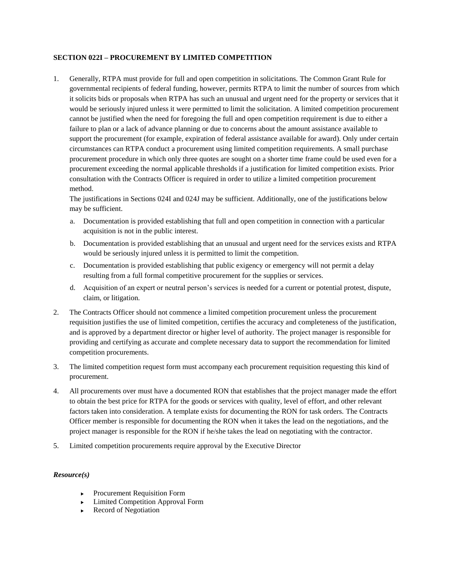## **SECTION 022I – PROCUREMENT BY LIMITED COMPETITION**

1. Generally, RTPA must provide for full and open competition in solicitations. The Common Grant Rule for governmental recipients of federal funding, however, permits RTPA to limit the number of sources from which it solicits bids or proposals when RTPA has such an unusual and urgent need for the property or services that it would be seriously injured unless it were permitted to limit the solicitation. A limited competition procurement cannot be justified when the need for foregoing the full and open competition requirement is due to either a failure to plan or a lack of advance planning or due to concerns about the amount assistance available to support the procurement (for example, expiration of federal assistance available for award). Only under certain circumstances can RTPA conduct a procurement using limited competition requirements. A small purchase procurement procedure in which only three quotes are sought on a shorter time frame could be used even for a procurement exceeding the normal applicable thresholds if a justification for limited competition exists. Prior consultation with the Contracts Officer is required in order to utilize a limited competition procurement method.

The justifications in Sections 024I and 024J may be sufficient. Additionally, one of the justifications below may be sufficient.

- a. Documentation is provided establishing that full and open competition in connection with a particular acquisition is not in the public interest.
- b. Documentation is provided establishing that an unusual and urgent need for the services exists and RTPA would be seriously injured unless it is permitted to limit the competition.
- c. Documentation is provided establishing that public exigency or emergency will not permit a delay resulting from a full formal competitive procurement for the supplies or services.
- d. Acquisition of an expert or neutral person's services is needed for a current or potential protest, dispute, claim, or litigation.
- 2. The Contracts Officer should not commence a limited competition procurement unless the procurement requisition justifies the use of limited competition, certifies the accuracy and completeness of the justification, and is approved by a department director or higher level of authority. The project manager is responsible for providing and certifying as accurate and complete necessary data to support the recommendation for limited competition procurements.
- 3. The limited competition request form must accompany each procurement requisition requesting this kind of procurement.
- 4. All procurements over must have a documented RON that establishes that the project manager made the effort to obtain the best price for RTPA for the goods or services with quality, level of effort, and other relevant factors taken into consideration. A template exists for documenting the RON for task orders. The Contracts Officer member is responsible for documenting the RON when it takes the lead on the negotiations, and the project manager is responsible for the RON if he/she takes the lead on negotiating with the contractor.
- 5. Limited competition procurements require approval by the Executive Director

## *Resource(s)*

- **Procurement Requisition Form**
- Limited Competition Approval Form
- Record of Negotiation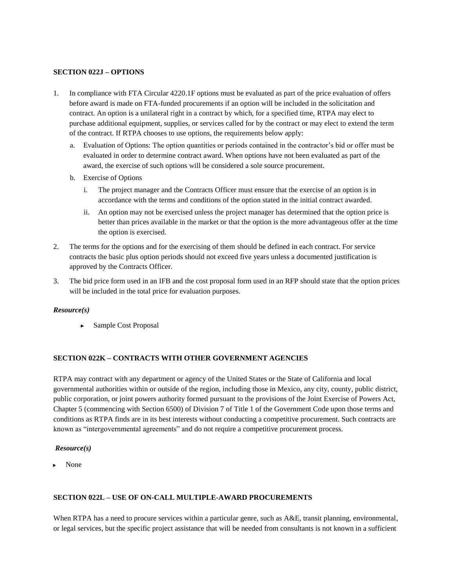#### **SECTION 022J – OPTIONS**

- 1. In compliance with FTA Circular 4220.1F options must be evaluated as part of the price evaluation of offers before award is made on FTA-funded procurements if an option will be included in the solicitation and contract. An option is a unilateral right in a contract by which, for a specified time, RTPA may elect to purchase additional equipment, supplies, or services called for by the contract or may elect to extend the term of the contract. If RTPA chooses to use options, the requirements below apply:
	- a. Evaluation of Options: The option quantities or periods contained in the contractor's bid or offer must be evaluated in order to determine contract award. When options have not been evaluated as part of the award, the exercise of such options will be considered a sole source procurement.
	- b. Exercise of Options
		- i. The project manager and the Contracts Officer must ensure that the exercise of an option is in accordance with the terms and conditions of the option stated in the initial contract awarded.
		- ii. An option may not be exercised unless the project manager has determined that the option price is better than prices available in the market or that the option is the more advantageous offer at the time the option is exercised.
- 2. The terms for the options and for the exercising of them should be defined in each contract. For service contracts the basic plus option periods should not exceed five years unless a documented justification is approved by the Contracts Officer.
- 3. The bid price form used in an IFB and the cost proposal form used in an RFP should state that the option prices will be included in the total price for evaluation purposes.

## *Resource(s)*

**►** Sample Cost Proposal

## **SECTION 022K – CONTRACTS WITH OTHER GOVERNMENT AGENCIES**

RTPA may contract with any department or agency of the United States or the State of California and local governmental authorities within or outside of the region, including those in Mexico, any city, county, public district, public corporation, or joint powers authority formed pursuant to the provisions of the Joint Exercise of Powers Act, Chapter 5 (commencing with Section 6500) of Division 7 of Title 1 of the Government Code upon those terms and conditions as RTPA finds are in its best interests without conducting a competitive procurement. Such contracts are known as "intergovernmental agreements" and do not require a competitive procurement process.

#### *Resource(s)*

None

## **SECTION 022L – USE OF ON-CALL MULTIPLE-AWARD PROCUREMENTS**

When RTPA has a need to procure services within a particular genre, such as  $A&E$ , transit planning, environmental, or legal services, but the specific project assistance that will be needed from consultants is not known in a sufficient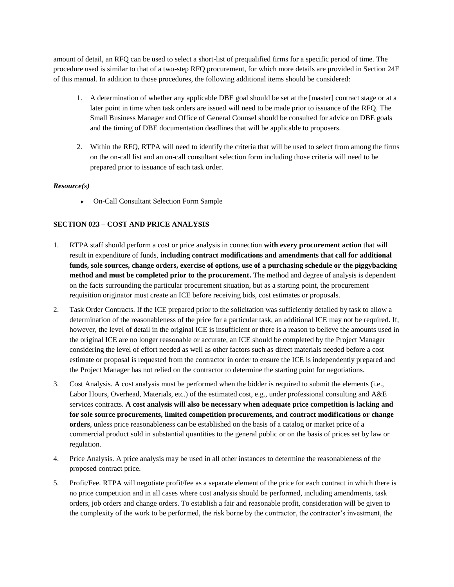amount of detail, an RFQ can be used to select a short-list of prequalified firms for a specific period of time. The procedure used is similar to that of a two-step RFQ procurement, for which more details are provided in Section 24F of this manual. In addition to those procedures, the following additional items should be considered:

- 1. A determination of whether any applicable DBE goal should be set at the [master] contract stage or at a later point in time when task orders are issued will need to be made prior to issuance of the RFQ. The Small Business Manager and Office of General Counsel should be consulted for advice on DBE goals and the timing of DBE documentation deadlines that will be applicable to proposers.
- 2. Within the RFQ, RTPA will need to identify the criteria that will be used to select from among the firms on the on-call list and an on-call consultant selection form including those criteria will need to be prepared prior to issuance of each task order.

#### *Resource(s)*

On-Call Consultant Selection Form Sample

## **SECTION 023 – COST AND PRICE ANALYSIS**

- 1. RTPA staff should perform a cost or price analysis in connection **with every procurement action** that will result in expenditure of funds, **including contract modifications and amendments that call for additional funds, sole sources, change orders, exercise of options, use of a purchasing schedule or the piggybacking method and must be completed prior to the procurement.** The method and degree of analysis is dependent on the facts surrounding the particular procurement situation, but as a starting point, the procurement requisition originator must create an ICE before receiving bids, cost estimates or proposals.
- 2. Task Order Contracts. If the ICE prepared prior to the solicitation was sufficiently detailed by task to allow a determination of the reasonableness of the price for a particular task, an additional ICE may not be required. If, however, the level of detail in the original ICE is insufficient or there is a reason to believe the amounts used in the original ICE are no longer reasonable or accurate, an ICE should be completed by the Project Manager considering the level of effort needed as well as other factors such as direct materials needed before a cost estimate or proposal is requested from the contractor in order to ensure the ICE is independently prepared and the Project Manager has not relied on the contractor to determine the starting point for negotiations.
- 3. Cost Analysis. A cost analysis must be performed when the bidder is required to submit the elements (i.e., Labor Hours, Overhead, Materials, etc.) of the estimated cost, e.g., under professional consulting and A&E services contracts. **A cost analysis will also be necessary when adequate price competition is lacking and for sole source procurements, limited competition procurements, and contract modifications or change orders**, unless price reasonableness can be established on the basis of a catalog or market price of a commercial product sold in substantial quantities to the general public or on the basis of prices set by law or regulation.
- 4. Price Analysis. A price analysis may be used in all other instances to determine the reasonableness of the proposed contract price.
- 5. Profit/Fee. RTPA will negotiate profit/fee as a separate element of the price for each contract in which there is no price competition and in all cases where cost analysis should be performed, including amendments, task orders, job orders and change orders. To establish a fair and reasonable profit, consideration will be given to the complexity of the work to be performed, the risk borne by the contractor, the contractor's investment, the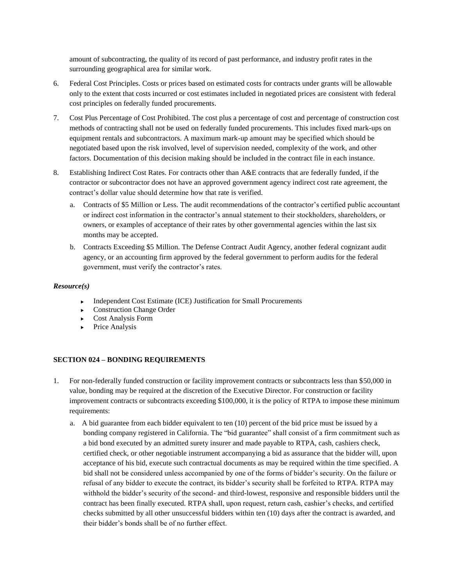amount of subcontracting, the quality of its record of past performance, and industry profit rates in the surrounding geographical area for similar work.

- 6. Federal Cost Principles. Costs or prices based on estimated costs for contracts under grants will be allowable only to the extent that costs incurred or cost estimates included in negotiated prices are consistent with federal cost principles on federally funded procurements.
- 7. Cost Plus Percentage of Cost Prohibited. The cost plus a percentage of cost and percentage of construction cost methods of contracting shall not be used on federally funded procurements. This includes fixed mark-ups on equipment rentals and subcontractors. A maximum mark-up amount may be specified which should be negotiated based upon the risk involved, level of supervision needed, complexity of the work, and other factors. Documentation of this decision making should be included in the contract file in each instance.
- 8. Establishing Indirect Cost Rates. For contracts other than A&E contracts that are federally funded, if the contractor or subcontractor does not have an approved government agency indirect cost rate agreement, the contract's dollar value should determine how that rate is verified.
	- a. Contracts of \$5 Million or Less. The audit recommendations of the contractor's certified public accountant or indirect cost information in the contractor's annual statement to their stockholders, shareholders, or owners, or examples of acceptance of their rates by other governmental agencies within the last six months may be accepted.
	- b. Contracts Exceeding \$5 Million. The Defense Contract Audit Agency, another federal cognizant audit agency, or an accounting firm approved by the federal government to perform audits for the federal government, must verify the contractor's rates.

## *Resource(s)*

- $\triangleright$  Independent Cost Estimate (ICE) Justification for Small Procurements
- Construction Change Order
- Cost Analysis Form
- $\blacktriangleright$  Price Analysis

#### **SECTION 024 – BONDING REQUIREMENTS**

- 1. For non-federally funded construction or facility improvement contracts or subcontracts less than \$50,000 in value, bonding may be required at the discretion of the Executive Director. For construction or facility improvement contracts or subcontracts exceeding \$100,000, it is the policy of RTPA to impose these minimum requirements:
	- a. A bid guarantee from each bidder equivalent to ten (10) percent of the bid price must be issued by a bonding company registered in California. The "bid guarantee" shall consist of a firm commitment such as a bid bond executed by an admitted surety insurer and made payable to RTPA, cash, cashiers check, certified check, or other negotiable instrument accompanying a bid as assurance that the bidder will, upon acceptance of his bid, execute such contractual documents as may be required within the time specified. A bid shall not be considered unless accompanied by one of the forms of bidder's security. On the failure or refusal of any bidder to execute the contract, its bidder's security shall be forfeited to RTPA. RTPA may withhold the bidder's security of the second- and third-lowest, responsive and responsible bidders until the contract has been finally executed. RTPA shall, upon request, return cash, cashier's checks, and certified checks submitted by all other unsuccessful bidders within ten (10) days after the contract is awarded, and their bidder's bonds shall be of no further effect.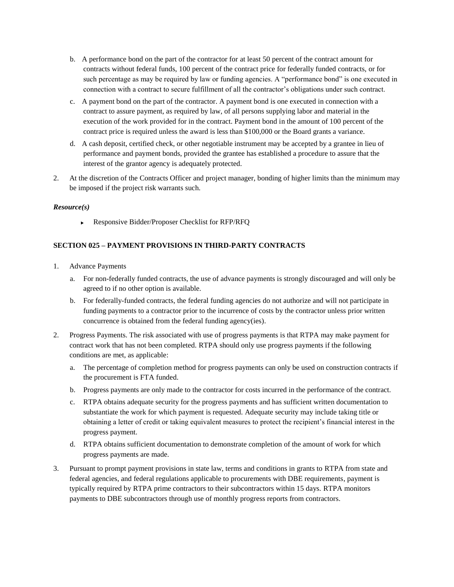- b. A performance bond on the part of the contractor for at least 50 percent of the contract amount for contracts without federal funds, 100 percent of the contract price for federally funded contracts, or for such percentage as may be required by law or funding agencies. A "performance bond" is one executed in connection with a contract to secure fulfillment of all the contractor's obligations under such contract.
- c. A payment bond on the part of the contractor. A payment bond is one executed in connection with a contract to assure payment, as required by law, of all persons supplying labor and material in the execution of the work provided for in the contract. Payment bond in the amount of 100 percent of the contract price is required unless the award is less than \$100,000 or the Board grants a variance.
- d. A cash deposit, certified check, or other negotiable instrument may be accepted by a grantee in lieu of performance and payment bonds, provided the grantee has established a procedure to assure that the interest of the grantor agency is adequately protected.
- 2. At the discretion of the Contracts Officer and project manager, bonding of higher limits than the minimum may be imposed if the project risk warrants such.

Responsive Bidder/Proposer Checklist for RFP/RFQ

## **SECTION 025 – PAYMENT PROVISIONS IN THIRD-PARTY CONTRACTS**

- 1. Advance Payments
	- a. For non-federally funded contracts, the use of advance payments is strongly discouraged and will only be agreed to if no other option is available.
	- b. For federally-funded contracts, the federal funding agencies do not authorize and will not participate in funding payments to a contractor prior to the incurrence of costs by the contractor unless prior written concurrence is obtained from the federal funding agency(ies).
- 2. Progress Payments. The risk associated with use of progress payments is that RTPA may make payment for contract work that has not been completed. RTPA should only use progress payments if the following conditions are met, as applicable:
	- a. The percentage of completion method for progress payments can only be used on construction contracts if the procurement is FTA funded.
	- b. Progress payments are only made to the contractor for costs incurred in the performance of the contract.
	- c. RTPA obtains adequate security for the progress payments and has sufficient written documentation to substantiate the work for which payment is requested. Adequate security may include taking title or obtaining a letter of credit or taking equivalent measures to protect the recipient's financial interest in the progress payment.
	- d. RTPA obtains sufficient documentation to demonstrate completion of the amount of work for which progress payments are made.
- 3. Pursuant to prompt payment provisions in state law, terms and conditions in grants to RTPA from state and federal agencies, and federal regulations applicable to procurements with DBE requirements, payment is typically required by RTPA prime contractors to their subcontractors within 15 days. RTPA monitors payments to DBE subcontractors through use of monthly progress reports from contractors.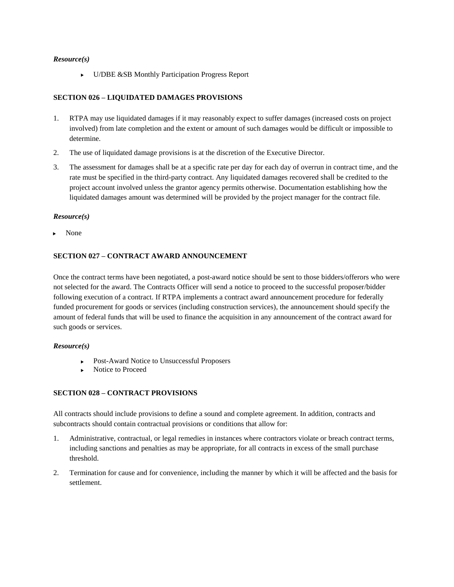U/DBE &SB Monthly Participation Progress Report

## **SECTION 026 – LIQUIDATED DAMAGES PROVISIONS**

- 1. RTPA may use liquidated damages if it may reasonably expect to suffer damages (increased costs on project involved) from late completion and the extent or amount of such damages would be difficult or impossible to determine.
- 2. The use of liquidated damage provisions is at the discretion of the Executive Director.
- 3. The assessment for damages shall be at a specific rate per day for each day of overrun in contract time, and the rate must be specified in the third-party contract. Any liquidated damages recovered shall be credited to the project account involved unless the grantor agency permits otherwise. Documentation establishing how the liquidated damages amount was determined will be provided by the project manager for the contract file.

#### *Resource(s)*

None

## **SECTION 027 – CONTRACT AWARD ANNOUNCEMENT**

Once the contract terms have been negotiated, a post-award notice should be sent to those bidders/offerors who were not selected for the award. The Contracts Officer will send a notice to proceed to the successful proposer/bidder following execution of a contract. If RTPA implements a contract award announcement procedure for federally funded procurement for goods or services (including construction services), the announcement should specify the amount of federal funds that will be used to finance the acquisition in any announcement of the contract award for such goods or services.

#### *Resource(s)*

- ▶ Post-Award Notice to Unsuccessful Proposers
- Notice to Proceed

## **SECTION 028 – CONTRACT PROVISIONS**

All contracts should include provisions to define a sound and complete agreement. In addition, contracts and subcontracts should contain contractual provisions or conditions that allow for:

- 1. Administrative, contractual, or legal remedies in instances where contractors violate or breach contract terms, including sanctions and penalties as may be appropriate, for all contracts in excess of the small purchase threshold.
- 2. Termination for cause and for convenience, including the manner by which it will be affected and the basis for settlement.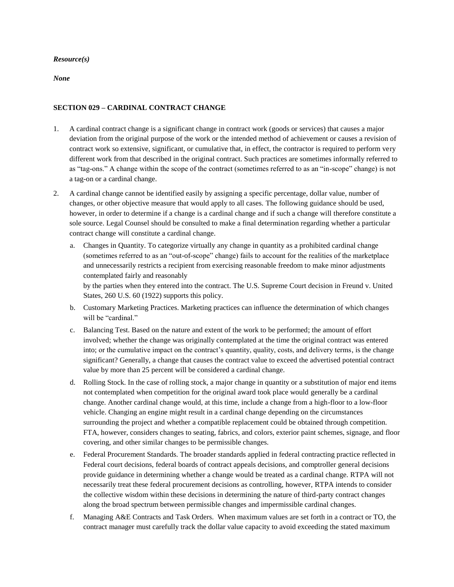*None*

## **SECTION 029 – CARDINAL CONTRACT CHANGE**

- 1. A cardinal contract change is a significant change in contract work (goods or services) that causes a major deviation from the original purpose of the work or the intended method of achievement or causes a revision of contract work so extensive, significant, or cumulative that, in effect, the contractor is required to perform very different work from that described in the original contract. Such practices are sometimes informally referred to as "tag-ons." A change within the scope of the contract (sometimes referred to as an "in-scope" change) is not a tag-on or a cardinal change.
- 2. A cardinal change cannot be identified easily by assigning a specific percentage, dollar value, number of changes, or other objective measure that would apply to all cases. The following guidance should be used, however, in order to determine if a change is a cardinal change and if such a change will therefore constitute a sole source. Legal Counsel should be consulted to make a final determination regarding whether a particular contract change will constitute a cardinal change.
	- a. Changes in Quantity. To categorize virtually any change in quantity as a prohibited cardinal change (sometimes referred to as an "out-of-scope" change) fails to account for the realities of the marketplace and unnecessarily restricts a recipient from exercising reasonable freedom to make minor adjustments contemplated fairly and reasonably

by the parties when they entered into the contract. The U.S. Supreme Court decision in Freund v. United States, 260 U.S. 60 (1922) supports this policy.

- b. Customary Marketing Practices. Marketing practices can influence the determination of which changes will be "cardinal."
- c. Balancing Test. Based on the nature and extent of the work to be performed; the amount of effort involved; whether the change was originally contemplated at the time the original contract was entered into; or the cumulative impact on the contract's quantity, quality, costs, and delivery terms, is the change significant? Generally, a change that causes the contract value to exceed the advertised potential contract value by more than 25 percent will be considered a cardinal change.
- d. Rolling Stock. In the case of rolling stock, a major change in quantity or a substitution of major end items not contemplated when competition for the original award took place would generally be a cardinal change. Another cardinal change would, at this time, include a change from a high-floor to a low-floor vehicle. Changing an engine might result in a cardinal change depending on the circumstances surrounding the project and whether a compatible replacement could be obtained through competition. FTA, however, considers changes to seating, fabrics, and colors, exterior paint schemes, signage, and floor covering, and other similar changes to be permissible changes.
- e. Federal Procurement Standards. The broader standards applied in federal contracting practice reflected in Federal court decisions, federal boards of contract appeals decisions, and comptroller general decisions provide guidance in determining whether a change would be treated as a cardinal change. RTPA will not necessarily treat these federal procurement decisions as controlling, however, RTPA intends to consider the collective wisdom within these decisions in determining the nature of third-party contract changes along the broad spectrum between permissible changes and impermissible cardinal changes.
- f. Managing A&E Contracts and Task Orders. When maximum values are set forth in a contract or TO, the contract manager must carefully track the dollar value capacity to avoid exceeding the stated maximum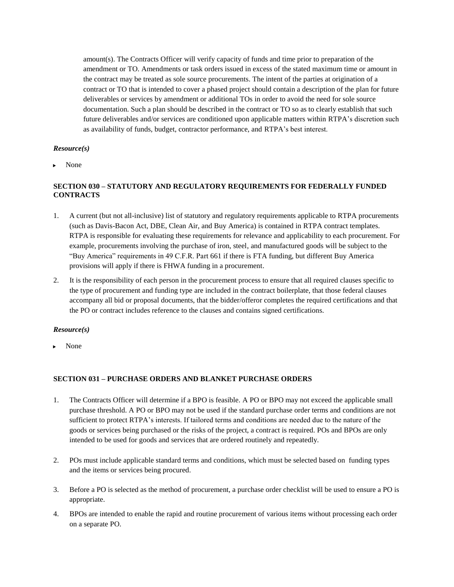amount(s). The Contracts Officer will verify capacity of funds and time prior to preparation of the amendment or TO. Amendments or task orders issued in excess of the stated maximum time or amount in the contract may be treated as sole source procurements. The intent of the parties at origination of a contract or TO that is intended to cover a phased project should contain a description of the plan for future deliverables or services by amendment or additional TOs in order to avoid the need for sole source documentation. Such a plan should be described in the contract or TO so as to clearly establish that such future deliverables and/or services are conditioned upon applicable matters within RTPA's discretion such as availability of funds, budget, contractor performance, and RTPA's best interest.

#### *Resource(s)*

None

## **SECTION 030 – STATUTORY AND REGULATORY REQUIREMENTS FOR FEDERALLY FUNDED CONTRACTS**

- 1. A current (but not all-inclusive) list of statutory and regulatory requirements applicable to RTPA procurements (such as Davis-Bacon Act, DBE, Clean Air, and Buy America) is contained in RTPA contract templates. RTPA is responsible for evaluating these requirements for relevance and applicability to each procurement. For example, procurements involving the purchase of iron, steel, and manufactured goods will be subject to the "Buy America" requirements in 49 C.F.R. Part 661 if there is FTA funding, but different Buy America provisions will apply if there is FHWA funding in a procurement.
- 2. It is the responsibility of each person in the procurement process to ensure that all required clauses specific to the type of procurement and funding type are included in the contract boilerplate, that those federal clauses accompany all bid or proposal documents, that the bidder/offeror completes the required certifications and that the PO or contract includes reference to the clauses and contains signed certifications.

#### *Resource(s)*

None

## **SECTION 031 – PURCHASE ORDERS AND BLANKET PURCHASE ORDERS**

- 1. The Contracts Officer will determine if a BPO is feasible. A PO or BPO may not exceed the applicable small purchase threshold. A PO or BPO may not be used if the standard purchase order terms and conditions are not sufficient to protect RTPA's interests. If tailored terms and conditions are needed due to the nature of the goods or services being purchased or the risks of the project, a contract is required. POs and BPOs are only intended to be used for goods and services that are ordered routinely and repeatedly.
- 2. POs must include applicable standard terms and conditions, which must be selected based on funding types and the items or services being procured.
- 3. Before a PO is selected as the method of procurement, a purchase order checklist will be used to ensure a PO is appropriate.
- 4. BPOs are intended to enable the rapid and routine procurement of various items without processing each order on a separate PO.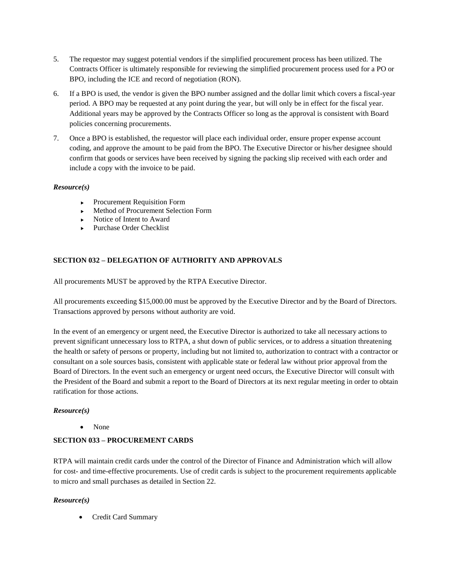- 5. The requestor may suggest potential vendors if the simplified procurement process has been utilized. The Contracts Officer is ultimately responsible for reviewing the simplified procurement process used for a PO or BPO, including the ICE and record of negotiation (RON).
- 6. If a BPO is used, the vendor is given the BPO number assigned and the dollar limit which covers a fiscal-year period. A BPO may be requested at any point during the year, but will only be in effect for the fiscal year. Additional years may be approved by the Contracts Officer so long as the approval is consistent with Board policies concerning procurements.
- 7. Once a BPO is established, the requestor will place each individual order, ensure proper expense account coding, and approve the amount to be paid from the BPO. The Executive Director or his/her designee should confirm that goods or services have been received by signing the packing slip received with each order and include a copy with the invoice to be paid.

- **Procurement Requisition Form**
- Method of Procurement Selection Form
- $\triangleright$  Notice of Intent to Award
- ▶ Purchase Order Checklist

## **SECTION 032 – DELEGATION OF AUTHORITY AND APPROVALS**

All procurements MUST be approved by the RTPA Executive Director.

All procurements exceeding \$15,000.00 must be approved by the Executive Director and by the Board of Directors. Transactions approved by persons without authority are void.

In the event of an emergency or urgent need, the Executive Director is authorized to take all necessary actions to prevent significant unnecessary loss to RTPA, a shut down of public services, or to address a situation threatening the health or safety of persons or property, including but not limited to, authorization to contract with a contractor or consultant on a sole sources basis, consistent with applicable state or federal law without prior approval from the Board of Directors. In the event such an emergency or urgent need occurs, the Executive Director will consult with the President of the Board and submit a report to the Board of Directors at its next regular meeting in order to obtain ratification for those actions.

## *Resource(s)*

• None

## **SECTION 033 – PROCUREMENT CARDS**

RTPA will maintain credit cards under the control of the Director of Finance and Administration which will allow for cost- and time-effective procurements. Use of credit cards is subject to the procurement requirements applicable to micro and small purchases as detailed in Section 22.

## *Resource(s)*

Credit Card Summary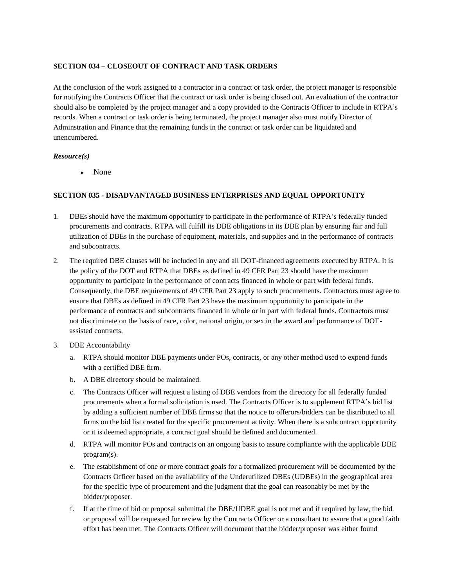## **SECTION 034 – CLOSEOUT OF CONTRACT AND TASK ORDERS**

At the conclusion of the work assigned to a contractor in a contract or task order, the project manager is responsible for notifying the Contracts Officer that the contract or task order is being closed out. An evaluation of the contractor should also be completed by the project manager and a copy provided to the Contracts Officer to include in RTPA's records. When a contract or task order is being terminated, the project manager also must notify Director of Adminstration and Finance that the remaining funds in the contract or task order can be liquidated and unencumbered.

## *Resource(s)*

• None

## **SECTION 035 - DISADVANTAGED BUSINESS ENTERPRISES AND EQUAL OPPORTUNITY**

- 1. DBEs should have the maximum opportunity to participate in the performance of RTPA's federally funded procurements and contracts. RTPA will fulfill its DBE obligations in its DBE plan by ensuring fair and full utilization of DBEs in the purchase of equipment, materials, and supplies and in the performance of contracts and subcontracts.
- 2. The required DBE clauses will be included in any and all DOT-financed agreements executed by RTPA. It is the policy of the DOT and RTPA that DBEs as defined in 49 CFR Part 23 should have the maximum opportunity to participate in the performance of contracts financed in whole or part with federal funds. Consequently, the DBE requirements of 49 CFR Part 23 apply to such procurements. Contractors must agree to ensure that DBEs as defined in 49 CFR Part 23 have the maximum opportunity to participate in the performance of contracts and subcontracts financed in whole or in part with federal funds. Contractors must not discriminate on the basis of race, color, national origin, or sex in the award and performance of DOTassisted contracts.
- 3. DBE Accountability
	- a. RTPA should monitor DBE payments under POs, contracts, or any other method used to expend funds with a certified DBE firm.
	- b. A DBE directory should be maintained.
	- c. The Contracts Officer will request a listing of DBE vendors from the directory for all federally funded procurements when a formal solicitation is used. The Contracts Officer is to supplement RTPA's bid list by adding a sufficient number of DBE firms so that the notice to offerors/bidders can be distributed to all firms on the bid list created for the specific procurement activity. When there is a subcontract opportunity or it is deemed appropriate, a contract goal should be defined and documented.
	- d. RTPA will monitor POs and contracts on an ongoing basis to assure compliance with the applicable DBE program(s).
	- e. The establishment of one or more contract goals for a formalized procurement will be documented by the Contracts Officer based on the availability of the Underutilized DBEs (UDBEs) in the geographical area for the specific type of procurement and the judgment that the goal can reasonably be met by the bidder/proposer.
	- f. If at the time of bid or proposal submittal the DBE/UDBE goal is not met and if required by law, the bid or proposal will be requested for review by the Contracts Officer or a consultant to assure that a good faith effort has been met. The Contracts Officer will document that the bidder/proposer was either found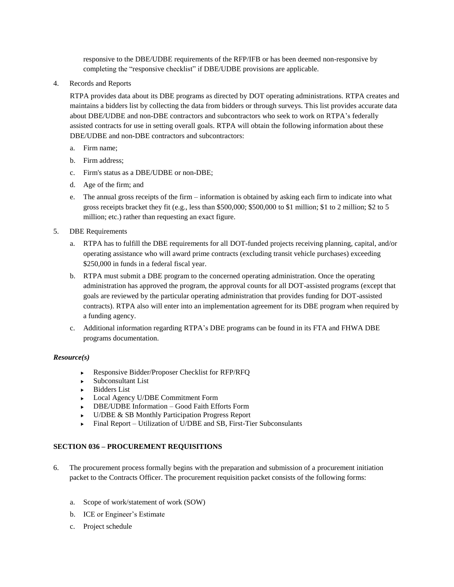responsive to the DBE/UDBE requirements of the RFP/IFB or has been deemed non-responsive by completing the "responsive checklist" if DBE/UDBE provisions are applicable.

4. Records and Reports

RTPA provides data about its DBE programs as directed by DOT operating administrations. RTPA creates and maintains a bidders list by collecting the data from bidders or through surveys. This list provides accurate data about DBE/UDBE and non-DBE contractors and subcontractors who seek to work on RTPA's federally assisted contracts for use in setting overall goals. RTPA will obtain the following information about these DBE/UDBE and non-DBE contractors and subcontractors:

- a. Firm name;
- b. Firm address;
- c. Firm's status as a DBE/UDBE or non-DBE;
- d. Age of the firm; and
- e. The annual gross receipts of the firm information is obtained by asking each firm to indicate into what gross receipts bracket they fit (e.g., less than \$500,000; \$500,000 to \$1 million; \$1 to 2 million; \$2 to 5 million; etc.) rather than requesting an exact figure.
- 5. DBE Requirements
	- a. RTPA has to fulfill the DBE requirements for all DOT-funded projects receiving planning, capital, and/or operating assistance who will award prime contracts (excluding transit vehicle purchases) exceeding \$250,000 in funds in a federal fiscal year.
	- b. RTPA must submit a DBE program to the concerned operating administration. Once the operating administration has approved the program, the approval counts for all DOT-assisted programs (except that goals are reviewed by the particular operating administration that provides funding for DOT-assisted contracts). RTPA also will enter into an implementation agreement for its DBE program when required by a funding agency.
	- c. Additional information regarding RTPA's DBE programs can be found in its FTA and FHWA DBE programs documentation.

#### *Resource(s)*

- Responsive Bidder/Proposer Checklist for RFP/RFQ
- ► Subconsultant List
- **Bidders List**
- ► Local Agency U/DBE Commitment Form
- ▶ DBE/UDBE Information Good Faith Efforts Form
- U/DBE & SB Monthly Participation Progress Report
- Final Report Utilization of U/DBE and SB, First-Tier Subconsulants

## **SECTION 036 – PROCUREMENT REQUISITIONS**

- 6. The procurement process formally begins with the preparation and submission of a procurement initiation packet to the Contracts Officer. The procurement requisition packet consists of the following forms:
	- a. Scope of work/statement of work (SOW)
	- b. ICE or Engineer's Estimate
	- c. Project schedule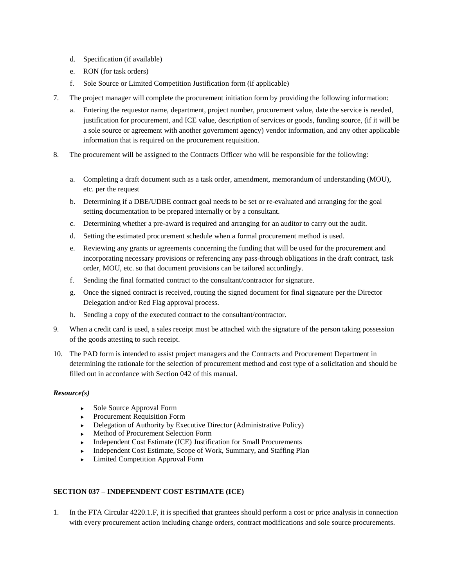- d. Specification (if available)
- e. RON (for task orders)
- f. Sole Source or Limited Competition Justification form (if applicable)
- 7. The project manager will complete the procurement initiation form by providing the following information:
	- a. Entering the requestor name, department, project number, procurement value, date the service is needed, justification for procurement, and ICE value, description of services or goods, funding source, (if it will be a sole source or agreement with another government agency) vendor information, and any other applicable information that is required on the procurement requisition.
- 8. The procurement will be assigned to the Contracts Officer who will be responsible for the following:
	- a. Completing a draft document such as a task order, amendment, memorandum of understanding (MOU), etc. per the request
	- b. Determining if a DBE/UDBE contract goal needs to be set or re-evaluated and arranging for the goal setting documentation to be prepared internally or by a consultant.
	- c. Determining whether a pre-award is required and arranging for an auditor to carry out the audit.
	- d. Setting the estimated procurement schedule when a formal procurement method is used.
	- e. Reviewing any grants or agreements concerning the funding that will be used for the procurement and incorporating necessary provisions or referencing any pass-through obligations in the draft contract, task order, MOU, etc. so that document provisions can be tailored accordingly.
	- f. Sending the final formatted contract to the consultant/contractor for signature.
	- g. Once the signed contract is received, routing the signed document for final signature per the Director Delegation and/or Red Flag approval process.
	- h. Sending a copy of the executed contract to the consultant/contractor.
- 9. When a credit card is used, a sales receipt must be attached with the signature of the person taking possession of the goods attesting to such receipt.
- 10. The PAD form is intended to assist project managers and the Contracts and Procurement Department in determining the rationale for the selection of procurement method and cost type of a solicitation and should be filled out in accordance with Section 042 of this manual.

- ▶ Sole Source Approval Form
- **Procurement Requisition Form**
- $\triangleright$  Delegation of Authority by Executive Director (Administrative Policy)
- Method of Procurement Selection Form
- **Independent Cost Estimate (ICE) Justification for Small Procurements**
- Independent Cost Estimate, Scope of Work, Summary, and Staffing Plan
- **Limited Competition Approval Form**

## **SECTION 037 – INDEPENDENT COST ESTIMATE (ICE)**

1. In the FTA Circular 4220.1.F, it is specified that grantees should perform a cost or price analysis in connection with every procurement action including change orders, contract modifications and sole source procurements.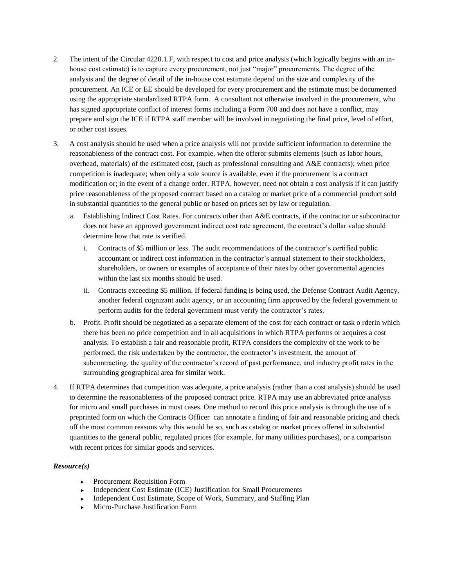- 2. The intent of the Circular 4220.1.F, with respect to cost and price analysis (which logically begins with an inhouse cost estimate) is to capture every procurement, not just "major" procurements. The degree of the analysis and the degree of detail of the in-house cost estimate depend on the size and complexity of the procurement. An ICE or EE should be developed for every procurement and the estimate must be documented using the appropriate standardized RTPA form. A consultant not otherwise involved in the procurement, who has signed appropriate conflict of interest forms including a Form 700 and does not have a conflict, may prepare and sign the ICE if RTPA staff member will be involved in negotiating the final price, level of effort, or other cost issues.
- 3. A cost analysis should be used when a price analysis will not provide sufficient information to determine the reasonableness of the contract cost. For example, when the offeror submits elements (such as labor hours, overhead, materials) of the estimated cost, (such as professional consulting and A&E contracts); when price competition is inadequate; when only a sole source is available, even if the procurement is a contract modification or; in the event of a change order. RTPA, however, need not obtain a cost analysis if it can justify price reasonableness of the proposed contract based on a catalog or market price of a commercial product sold in substantial quantities to the general public or based on prices set by law or regulation.
	- a. Establishing Indirect Cost Rates. For contracts other than A&E contracts, if the contractor or subcontractor does not have an approved government indirect cost rate agreement, the contract's dollar value should determine how that rate is verified.
		- i. Contracts of \$5 million or less. The audit recommendations of the contractor's certified public accountant or indirect cost information in the contractor's annual statement to their stockholders, shareholders, or owners or examples of acceptance of their rates by other governmental agencies within the last six months should be used.
		- ii. Contracts exceeding \$5 million. If federal funding is being used, the Defense Contract Audit Agency, another federal cognizant audit agency, or an accounting firm approved by the federal government to perform audits for the federal government must verify the contractor's rates.
	- b. Profit. Profit should be negotiated as a separate element of the cost for each contract or task o rderin which there has been no price competition and in all acquisitions in which RTPA performs or acquires a cost analysis. To establish a fair and reasonable profit, RTPA considers the complexity of the work to be performed, the risk undertaken by the contractor, the contractor's investment, the amount of subcontracting, the quality of the contractor's record of past performance, and industry profit rates in the surrounding geographical area for similar work.
- 4. If RTPA determines that competition was adequate, a price analysis (rather than a cost analysis) should be used to determine the reasonableness of the proposed contract price. RTPA may use an abbreviated price analysis for micro and small purchases in most cases. One method to record this price analysis is through the use of a preprinted form on which the Contracts Officer can annotate a finding of fair and reasonable pricing and check off the most common reasons why this would be so, such as catalog or market prices offered in substantial quantities to the general public, regulated prices (for example, for many utilities purchases), or a comparison with recent prices for similar goods and services.

- **Procurement Requisition Form**
- Independent Cost Estimate (ICE) Justification for Small Procurements
- Independent Cost Estimate, Scope of Work, Summary, and Staffing Plan
- Micro-Purchase Justification Form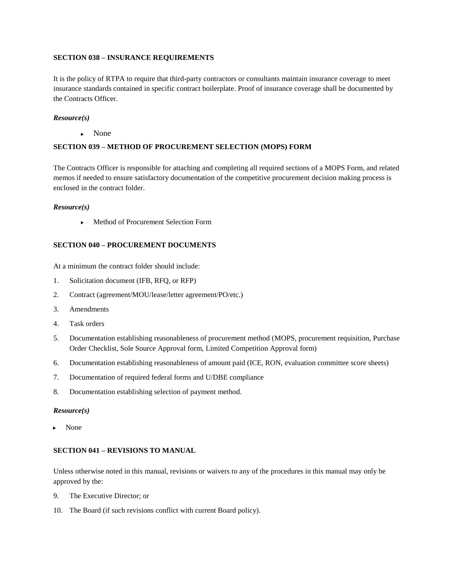### **SECTION 038 – INSURANCE REQUIREMENTS**

It is the policy of RTPA to require that third-party contractors or consultants maintain insurance coverage to meet insurance standards contained in specific contract boilerplate. Proof of insurance coverage shall be documented by the Contracts Officer.

#### *Resource(s)*

• None

#### **SECTION 039 – METHOD OF PROCUREMENT SELECTION (MOPS) FORM**

The Contracts Officer is responsible for attaching and completing all required sections of a MOPS Form, and related memos if needed to ensure satisfactory documentation of the competitive procurement decision making process is enclosed in the contract folder.

#### *Resource(s)*

▶ Method of Procurement Selection Form

## **SECTION 040 – PROCUREMENT DOCUMENTS**

At a minimum the contract folder should include:

- 1. Solicitation document (IFB, RFQ, or RFP)
- 2. Contract (agreement/MOU/lease/letter agreement/PO/etc.)
- 3. Amendments
- 4. Task orders
- 5. Documentation establishing reasonableness of procurement method (MOPS, procurement requisition, Purchase Order Checklist, Sole Source Approval form, Limited Competition Approval form)
- 6. Documentation establishing reasonableness of amount paid (ICE, RON, evaluation committee score sheets)
- 7. Documentation of required federal forms and U/DBE compliance
- 8. Documentation establishing selection of payment method.

#### *Resource(s)*

None

## **SECTION 041 – REVISIONS TO MANUAL**

Unless otherwise noted in this manual, revisions or waivers to any of the procedures in this manual may only be approved by the:

- 9. The Executive Director; or
- 10. The Board (if such revisions conflict with current Board policy).